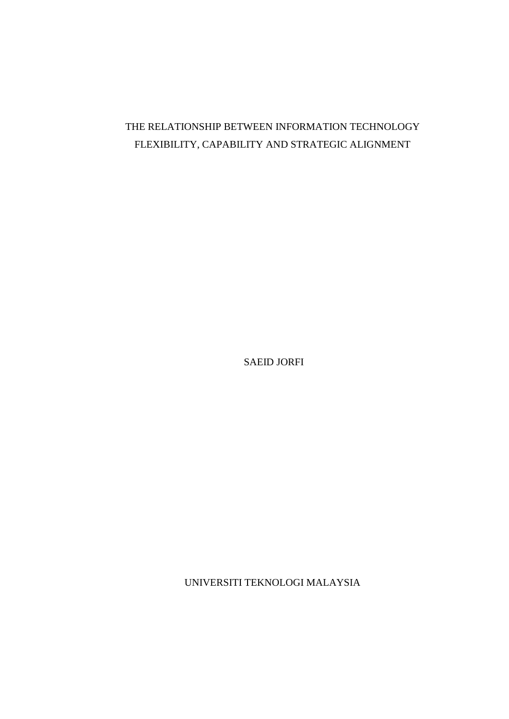# THE RELATIONSHIP BETWEEN INFORMATION TECHNOLOGY FLEXIBILITY, CAPABILITY AND STRATEGIC ALIGNMENT

SAEID JORFI

UNIVERSITI TEKNOLOGI MALAYSIA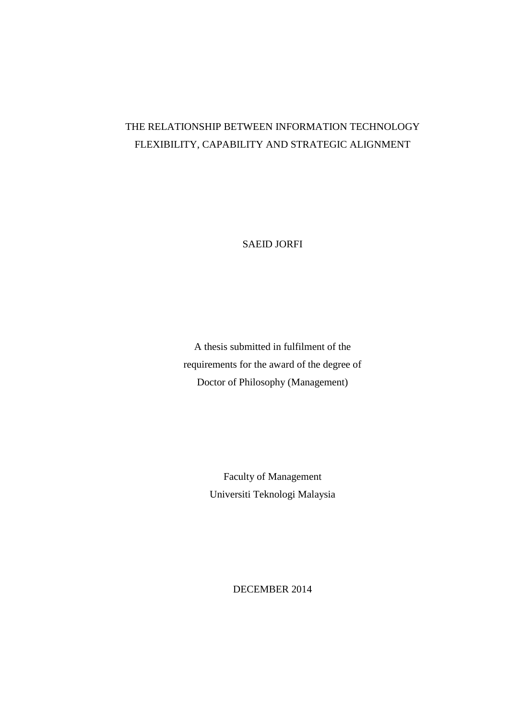# THE RELATIONSHIP BETWEEN INFORMATION TECHNOLOGY FLEXIBILITY, CAPABILITY AND STRATEGIC ALIGNMENT

SAEID JORFI

A thesis submitted in fulfilment of the requirements for the award of the degree of Doctor of Philosophy (Management)

> Faculty of Management Universiti Teknologi Malaysia

> > DECEMBER 2014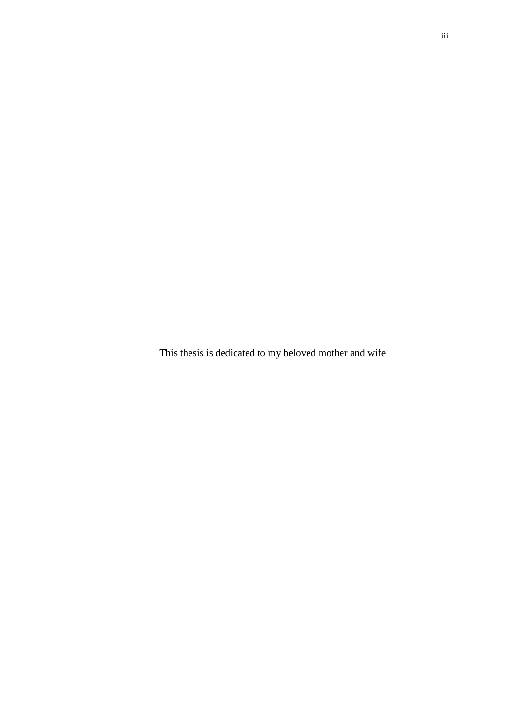This thesis is dedicated to my beloved mother and wife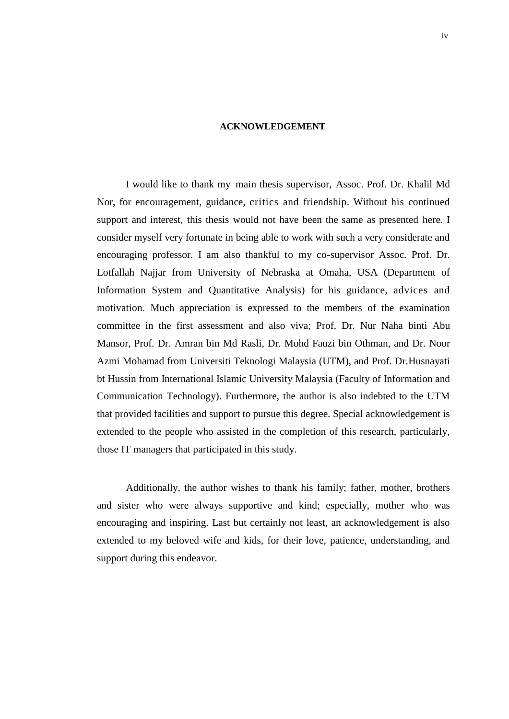#### **ACKNOWLEDGEMENT**

I would like to thank my main thesis supervisor, Assoc. Prof. Dr. Khalil Md Nor, for encouragement, guidance, critics and friendship. Without his continued support and interest, this thesis would not have been the same as presented here. I consider myself very fortunate in being able to work with such a very considerate and encouraging professor. I am also thankful to my co-supervisor Assoc. Prof. Dr. Lotfallah Najjar from University of Nebraska at Omaha, USA (Department of Information System and Quantitative Analysis) for his guidance, advices and motivation. Much appreciation is expressed to the members of the examination committee in the first assessment and also viva; Prof. Dr. Nur Naha binti Abu Mansor, Prof. Dr. Amran bin Md Rasli, Dr. Mohd Fauzi bin Othman, and Dr. Noor Azmi Mohamad from Universiti Teknologi Malaysia (UTM), and Prof. Dr.Husnayati bt Hussin from International Islamic University Malaysia (Faculty of Information and Communication Technology). Furthermore, the author is also indebted to the UTM that provided facilities and support to pursue this degree. Special acknowledgement is extended to the people who assisted in the completion of this research, particularly, those IT managers that participated in this study.

Additionally, the author wishes to thank his family; father, mother, brothers and sister who were always supportive and kind; especially, mother who was encouraging and inspiring. Last but certainly not least, an acknowledgement is also extended to my beloved wife and kids, for their love, patience, understanding, and support during this endeavor.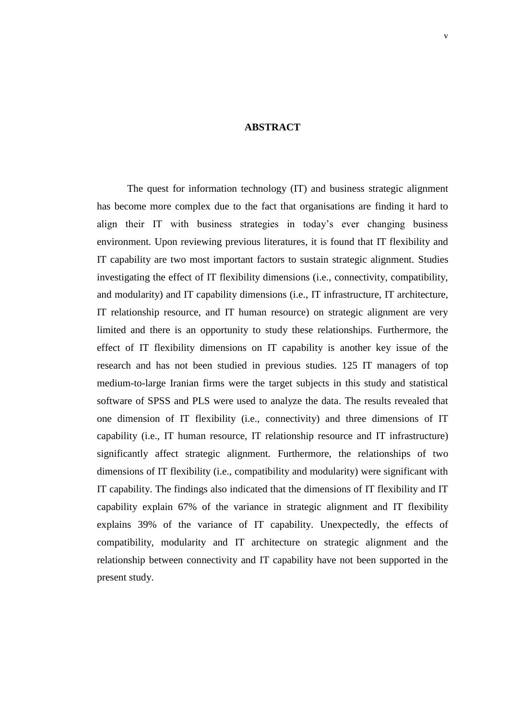## **ABSTRACT**

The quest for information technology (IT) and business strategic alignment has become more complex due to the fact that organisations are finding it hard to align their IT with business strategies in today"s ever changing business environment. Upon reviewing previous literatures, it is found that IT flexibility and IT capability are two most important factors to sustain strategic alignment. Studies investigating the effect of IT flexibility dimensions (i.e., connectivity, compatibility, and modularity) and IT capability dimensions (i.e., IT infrastructure, IT architecture, IT relationship resource, and IT human resource) on strategic alignment are very limited and there is an opportunity to study these relationships. Furthermore, the effect of IT flexibility dimensions on IT capability is another key issue of the research and has not been studied in previous studies. 125 IT managers of top medium-to-large Iranian firms were the target subjects in this study and statistical software of SPSS and PLS were used to analyze the data. The results revealed that one dimension of IT flexibility (i.e., connectivity) and three dimensions of IT capability (i.e., IT human resource, IT relationship resource and IT infrastructure) significantly affect strategic alignment. Furthermore, the relationships of two dimensions of IT flexibility (i.e., compatibility and modularity) were significant with IT capability. The findings also indicated that the dimensions of IT flexibility and IT capability explain 67% of the variance in strategic alignment and IT flexibility explains 39% of the variance of IT capability. Unexpectedly, the effects of compatibility, modularity and IT architecture on strategic alignment and the relationship between connectivity and IT capability have not been supported in the present study.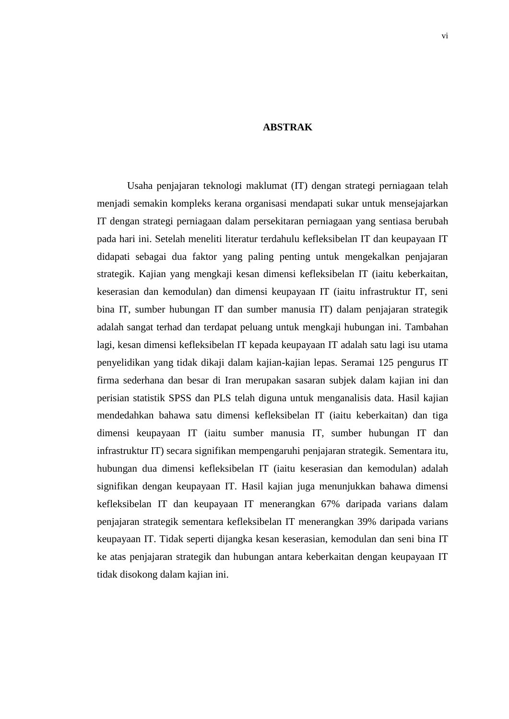# **ABSTRAK**

Usaha penjajaran teknologi maklumat (IT) dengan strategi perniagaan telah menjadi semakin kompleks kerana organisasi mendapati sukar untuk mensejajarkan IT dengan strategi perniagaan dalam persekitaran perniagaan yang sentiasa berubah pada hari ini. Setelah meneliti literatur terdahulu kefleksibelan IT dan keupayaan IT didapati sebagai dua faktor yang paling penting untuk mengekalkan penjajaran strategik. Kajian yang mengkaji kesan dimensi kefleksibelan IT (iaitu keberkaitan, keserasian dan kemodulan) dan dimensi keupayaan IT (iaitu infrastruktur IT, seni bina IT, sumber hubungan IT dan sumber manusia IT) dalam penjajaran strategik adalah sangat terhad dan terdapat peluang untuk mengkaji hubungan ini. Tambahan lagi, kesan dimensi kefleksibelan IT kepada keupayaan IT adalah satu lagi isu utama penyelidikan yang tidak dikaji dalam kajian-kajian lepas. Seramai 125 pengurus IT firma sederhana dan besar di Iran merupakan sasaran subjek dalam kajian ini dan perisian statistik SPSS dan PLS telah diguna untuk menganalisis data. Hasil kajian mendedahkan bahawa satu dimensi kefleksibelan IT (iaitu keberkaitan) dan tiga dimensi keupayaan IT (iaitu sumber manusia IT, sumber hubungan IT dan infrastruktur IT) secara signifikan mempengaruhi penjajaran strategik. Sementara itu, hubungan dua dimensi kefleksibelan IT (iaitu keserasian dan kemodulan) adalah signifikan dengan keupayaan IT. Hasil kajian juga menunjukkan bahawa dimensi kefleksibelan IT dan keupayaan IT menerangkan 67% daripada varians dalam penjajaran strategik sementara kefleksibelan IT menerangkan 39% daripada varians keupayaan IT. Tidak seperti dijangka kesan keserasian, kemodulan dan seni bina IT ke atas penjajaran strategik dan hubungan antara keberkaitan dengan keupayaan IT tidak disokong dalam kajian ini.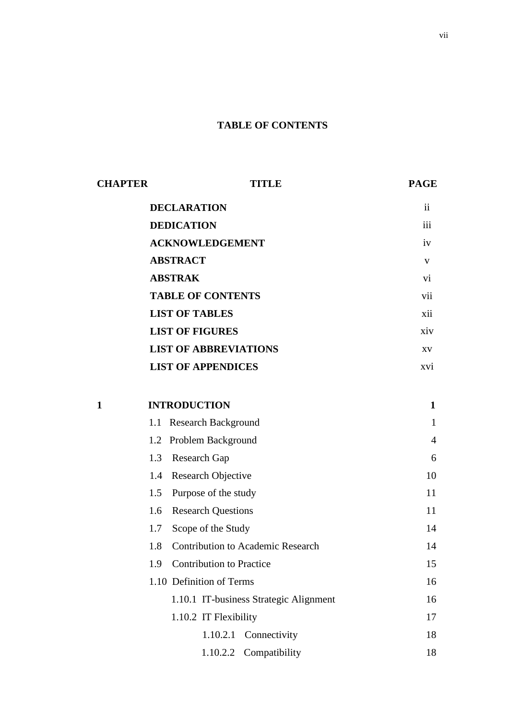# **TABLE OF CONTENTS**

| <b>CHAPTER</b> | <b>TITLE</b>                             | <b>PAGE</b>     |  |  |  |
|----------------|------------------------------------------|-----------------|--|--|--|
|                | <b>DECLARATION</b>                       | <i>ii</i>       |  |  |  |
|                | <b>DEDICATION</b>                        | iii             |  |  |  |
|                | <b>ACKNOWLEDGEMENT</b>                   | iv              |  |  |  |
|                | <b>ABSTRACT</b>                          | $\mathbf V$     |  |  |  |
|                | <b>ABSTRAK</b>                           |                 |  |  |  |
|                | <b>TABLE OF CONTENTS</b>                 | vii             |  |  |  |
|                | <b>LIST OF TABLES</b>                    | xii             |  |  |  |
|                | <b>LIST OF FIGURES</b>                   | xiv             |  |  |  |
|                | <b>LIST OF ABBREVIATIONS</b>             | XV              |  |  |  |
|                | <b>LIST OF APPENDICES</b>                | XVI <sup></sup> |  |  |  |
|                |                                          |                 |  |  |  |
| 1              | <b>INTRODUCTION</b>                      | 1               |  |  |  |
| 1.1            | <b>Research Background</b>               | 1               |  |  |  |
| 1.2            | Problem Background                       | $\overline{4}$  |  |  |  |
| 1.3            | <b>Research Gap</b>                      | 6               |  |  |  |
| 1.4            | Research Objective                       | 10              |  |  |  |
| 1.5            | Purpose of the study                     | 11              |  |  |  |
| 1.6            | <b>Research Questions</b>                | 11              |  |  |  |
| 1.7            | Scope of the Study                       | 14              |  |  |  |
| 1.8            | <b>Contribution to Academic Research</b> | 14              |  |  |  |
|                | 1.9 Contribution to Practice             | 15              |  |  |  |
|                | 1.10 Definition of Terms                 | 16              |  |  |  |
|                | 1.10.1 IT-business Strategic Alignment   | 16              |  |  |  |
|                | 1.10.2 IT Flexibility                    | 17              |  |  |  |
|                | 1.10.2.1 Connectivity                    | 18              |  |  |  |
|                | 1.10.2.2 Compatibility                   | 18              |  |  |  |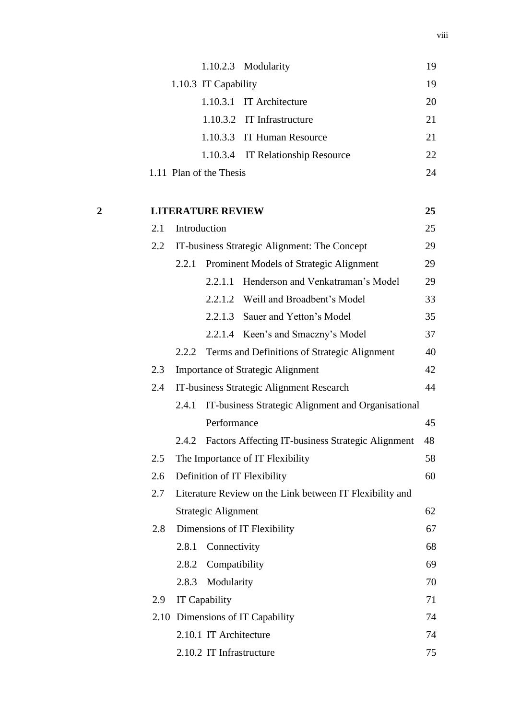|   |     |              |                          | 1.10.2.3 Modularity                                      | 19 |
|---|-----|--------------|--------------------------|----------------------------------------------------------|----|
|   |     |              | 1.10.3 IT Capability     |                                                          | 19 |
|   |     |              |                          | 1.10.3.1 IT Architecture                                 | 20 |
|   |     |              |                          | 1.10.3.2 IT Infrastructure                               | 21 |
|   |     |              |                          | 1.10.3.3 IT Human Resource                               | 21 |
|   |     |              |                          | 1.10.3.4 IT Relationship Resource                        | 22 |
|   |     |              | 1.11 Plan of the Thesis  |                                                          | 24 |
|   |     |              |                          |                                                          |    |
| 2 |     |              | <b>LITERATURE REVIEW</b> |                                                          | 25 |
|   | 2.1 | Introduction |                          |                                                          | 25 |
|   | 2.2 |              |                          | IT-business Strategic Alignment: The Concept             | 29 |
|   |     | 2.2.1        |                          | Prominent Models of Strategic Alignment                  | 29 |
|   |     |              | 2.2.1.1                  | Henderson and Venkatraman's Model                        | 29 |
|   |     |              |                          | 2.2.1.2 Weill and Broadbent's Model                      | 33 |
|   |     |              |                          | 2.2.1.3 Sauer and Yetton's Model                         | 35 |
|   |     |              |                          | 2.2.1.4 Keen's and Smaczny's Model                       | 37 |
|   |     | 2.2.2        |                          | Terms and Definitions of Strategic Alignment             | 40 |
|   | 2.3 |              |                          | <b>Importance of Strategic Alignment</b>                 | 42 |
|   | 2.4 |              |                          | IT-business Strategic Alignment Research                 | 44 |
|   |     | 2.4.1        |                          | IT-business Strategic Alignment and Organisational       |    |
|   |     |              | Performance              |                                                          | 45 |
|   |     |              |                          | 2.4.2 Factors Affecting IT-business Strategic Alignment  | 48 |
|   | 2.5 |              |                          | The Importance of IT Flexibility                         | 58 |
|   | 2.6 |              |                          | Definition of IT Flexibility                             | 60 |
|   | 2.7 |              |                          | Literature Review on the Link between IT Flexibility and |    |
|   |     |              | Strategic Alignment      |                                                          | 62 |
|   | 2.8 |              |                          | Dimensions of IT Flexibility                             | 67 |
|   |     | 2.8.1        | Connectivity             |                                                          | 68 |
|   |     |              | 2.8.2 Compatibility      |                                                          | 69 |
|   |     | 2.8.3        | Modularity               |                                                          | 70 |
|   | 2.9 |              | IT Capability            |                                                          | 71 |
|   |     |              |                          | 2.10 Dimensions of IT Capability                         | 74 |
|   |     |              | 2.10.1 IT Architecture   |                                                          | 74 |
|   |     |              | 2.10.2 IT Infrastructure |                                                          | 75 |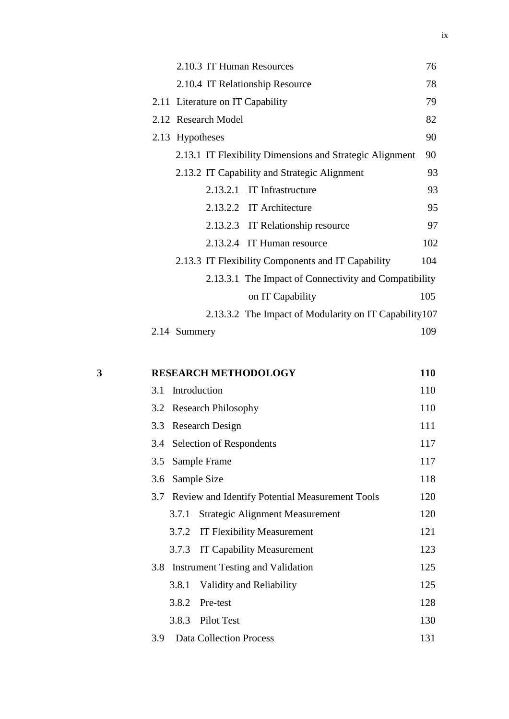| 2.10.3 IT Human Resources                                | 76  |
|----------------------------------------------------------|-----|
| 2.10.4 IT Relationship Resource                          | 78  |
| 2.11 Literature on IT Capability                         | 79  |
| 2.12 Research Model                                      | 82  |
| 2.13 Hypotheses                                          | 90  |
| 2.13.1 IT Flexibility Dimensions and Strategic Alignment | 90  |
| 2.13.2 IT Capability and Strategic Alignment             | 93  |
| 2.13.2.1 IT Infrastructure                               | 93  |
| 2.13.2.2 IT Architecture                                 | 95  |
| 2.13.2.3 IT Relationship resource                        | 97  |
| 2.13.2.4 IT Human resource                               | 102 |
| 2.13.3 IT Flexibility Components and IT Capability       | 104 |
| 2.13.3.1 The Impact of Connectivity and Compatibility    |     |
| on IT Capability                                         | 105 |
| 2.13.3.2 The Impact of Modularity on IT Capability 107   |     |
| 2.14 Summery                                             | 109 |

| 3 | <b>RESEARCH METHODOLOGY</b>                         | 110 |
|---|-----------------------------------------------------|-----|
|   | 3.1 Introduction                                    | 110 |
|   | 3.2 Research Philosophy                             | 110 |
|   | 3.3 Research Design                                 | 111 |
|   | 3.4 Selection of Respondents                        | 117 |
|   | 3.5 Sample Frame                                    | 117 |
|   | 3.6 Sample Size                                     | 118 |
|   | 3.7 Review and Identify Potential Measurement Tools | 120 |
|   | <b>Strategic Alignment Measurement</b><br>3.7.1     | 120 |
|   | 3.7.2 IT Flexibility Measurement                    | 121 |
|   | <b>IT Capability Measurement</b><br>3.7.3           | 123 |
|   | 3.8 Instrument Testing and Validation               | 125 |
|   | Validity and Reliability<br>3.8.1                   | 125 |
|   | 3.8.2<br>Pre-test                                   | 128 |
|   | 3.8.3 Pilot Test                                    | 130 |
|   |                                                     |     |

3.9 Data Collection Process 131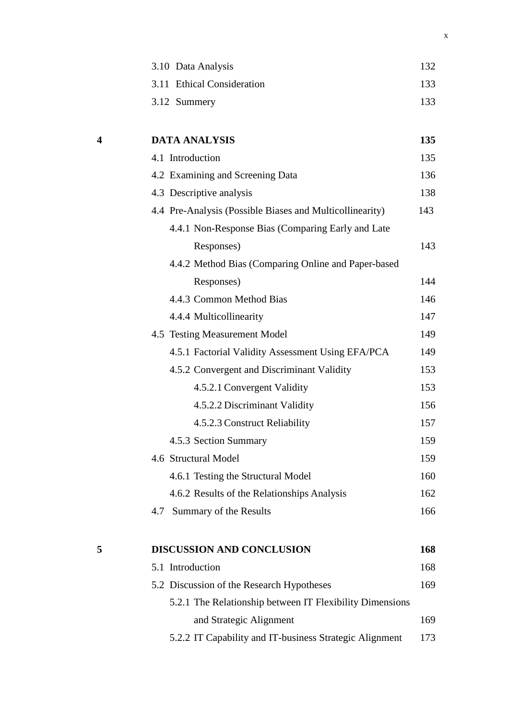| 3.10 Data Analysis         | 132 |
|----------------------------|-----|
| 3.11 Ethical Consideration | 133 |
| 3.12 Summery               | 133 |

| 4 | <b>DATA ANALYSIS</b>                                     | 135 |
|---|----------------------------------------------------------|-----|
|   | 4.1 Introduction                                         | 135 |
|   | 4.2 Examining and Screening Data                         | 136 |
|   | 4.3 Descriptive analysis                                 | 138 |
|   | 4.4 Pre-Analysis (Possible Biases and Multicollinearity) | 143 |
|   | 4.4.1 Non-Response Bias (Comparing Early and Late        |     |
|   | Responses)                                               | 143 |
|   | 4.4.2 Method Bias (Comparing Online and Paper-based      |     |
|   | Responses)                                               | 144 |
|   | 4.4.3 Common Method Bias                                 | 146 |
|   | 4.4.4 Multicollinearity                                  | 147 |
|   | 4.5 Testing Measurement Model                            | 149 |
|   | 4.5.1 Factorial Validity Assessment Using EFA/PCA        | 149 |
|   | 4.5.2 Convergent and Discriminant Validity               | 153 |
|   | 4.5.2.1 Convergent Validity                              | 153 |
|   | 4.5.2.2 Discriminant Validity                            | 156 |
|   | 4.5.2.3 Construct Reliability                            | 157 |
|   | 4.5.3 Section Summary                                    | 159 |
|   | 4.6 Structural Model                                     | 159 |
|   | 4.6.1 Testing the Structural Model                       | 160 |
|   | 4.6.2 Results of the Relationships Analysis              | 162 |
|   | Summary of the Results<br>4.7                            | 166 |
| 5 | <b>DISCUSSION AND CONCLUSION</b>                         | 168 |
|   | 5.1 Introduction                                         | 168 |
|   | 5.2 Discussion of the Research Hypotheses                | 169 |
|   | 5.2.1 The Relationship between IT Flexibility Dimensions |     |
|   | and Strategic Alignment                                  | 169 |
|   |                                                          |     |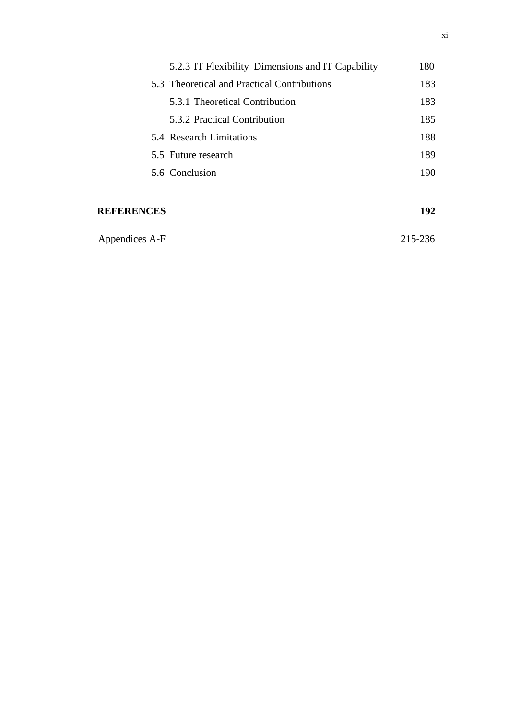| 5.2.3 IT Flexibility Dimensions and IT Capability | 180 |
|---------------------------------------------------|-----|
| 5.3 Theoretical and Practical Contributions       | 183 |
| 5.3.1 Theoretical Contribution                    | 183 |
| 5.3.2 Practical Contribution                      | 185 |
| 5.4 Research Limitations                          | 188 |
| 5.5 Future research                               | 189 |
| 5.6 Conclusion                                    | 190 |
|                                                   |     |

# **REFERENCES 192**

Appendices A-F 215-236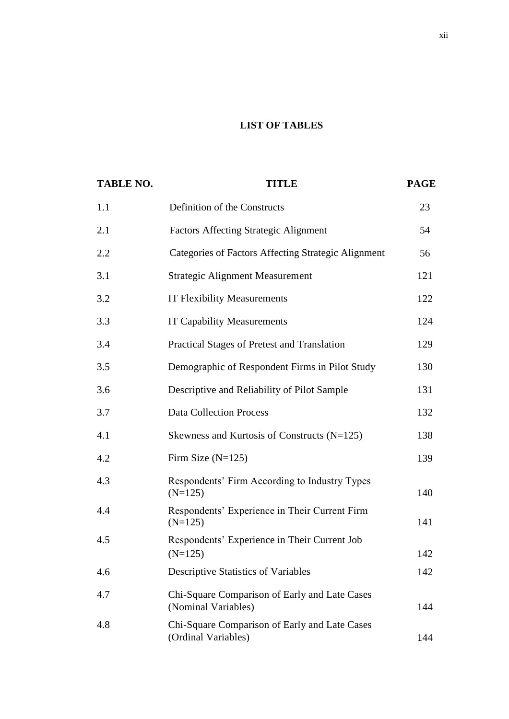# **LIST OF TABLES**

| <b>TABLE NO.</b> | <b>TITLE</b>                                                         | <b>PAGE</b> |
|------------------|----------------------------------------------------------------------|-------------|
| 1.1              | Definition of the Constructs                                         | 23          |
| 2.1              | <b>Factors Affecting Strategic Alignment</b>                         | 54          |
| 2.2              | <b>Categories of Factors Affecting Strategic Alignment</b>           | 56          |
| 3.1              | <b>Strategic Alignment Measurement</b>                               | 121         |
| 3.2              | <b>IT Flexibility Measurements</b>                                   | 122         |
| 3.3              | <b>IT Capability Measurements</b>                                    | 124         |
| 3.4              | Practical Stages of Pretest and Translation                          | 129         |
| 3.5              | Demographic of Respondent Firms in Pilot Study                       | 130         |
| 3.6              | Descriptive and Reliability of Pilot Sample                          | 131         |
| 3.7              | <b>Data Collection Process</b>                                       | 132         |
| 4.1              | Skewness and Kurtosis of Constructs (N=125)                          | 138         |
| 4.2              | Firm Size $(N=125)$                                                  | 139         |
| 4.3              | Respondents' Firm According to Industry Types<br>$(N=125)$           | 140         |
| 4.4              | Respondents' Experience in Their Current Firm<br>$(N=125)$           | 141         |
| 4.5              | Respondents' Experience in Their Current Job<br>$(N=125)$            | 142         |
| 4.6              | <b>Descriptive Statistics of Variables</b>                           | 142         |
| 4.7              | Chi-Square Comparison of Early and Late Cases<br>(Nominal Variables) | 144         |
| 4.8              | Chi-Square Comparison of Early and Late Cases<br>(Ordinal Variables) | 144         |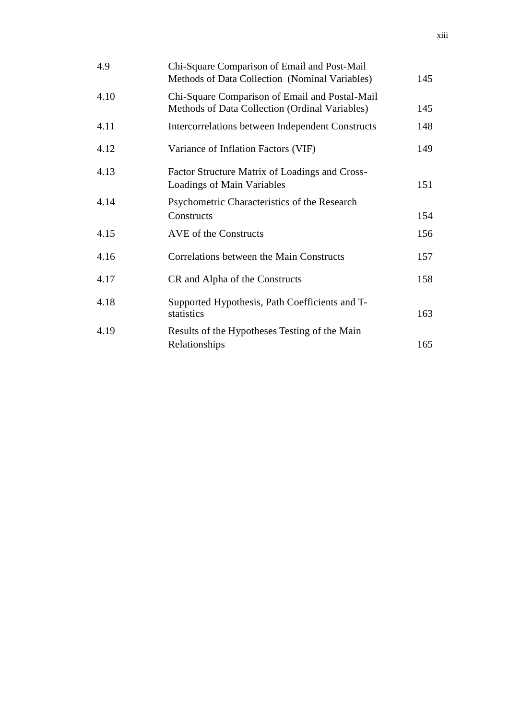| 4.9  | Chi-Square Comparison of Email and Post-Mail<br>Methods of Data Collection (Nominal Variables)   | 145 |
|------|--------------------------------------------------------------------------------------------------|-----|
| 4.10 | Chi-Square Comparison of Email and Postal-Mail<br>Methods of Data Collection (Ordinal Variables) | 145 |
| 4.11 | Intercorrelations between Independent Constructs                                                 | 148 |
| 4.12 | Variance of Inflation Factors (VIF)                                                              | 149 |
| 4.13 | Factor Structure Matrix of Loadings and Cross-<br>Loadings of Main Variables                     | 151 |
| 4.14 | Psychometric Characteristics of the Research<br>Constructs                                       | 154 |
| 4.15 | AVE of the Constructs                                                                            | 156 |
| 4.16 | Correlations between the Main Constructs                                                         | 157 |
| 4.17 | CR and Alpha of the Constructs                                                                   | 158 |
| 4.18 | Supported Hypothesis, Path Coefficients and T-<br>statistics                                     | 163 |
| 4.19 | Results of the Hypotheses Testing of the Main<br>Relationships                                   | 165 |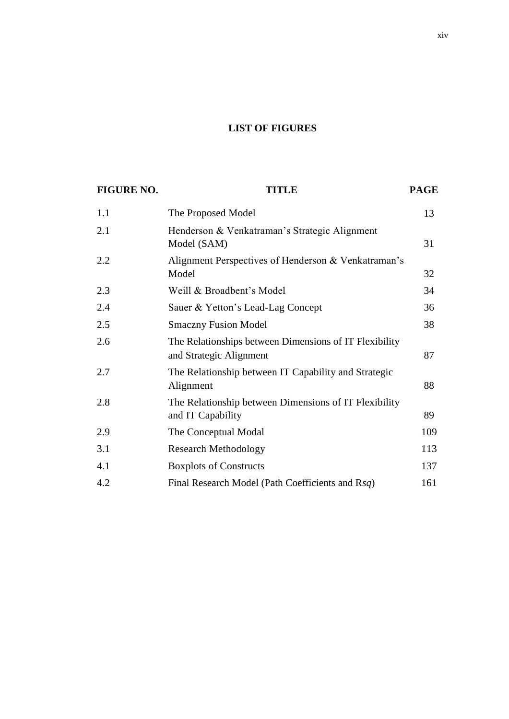# **LIST OF FIGURES**

| <b>FIGURE NO.</b> | <b>TITLE</b>                                                                      | <b>PAGE</b> |
|-------------------|-----------------------------------------------------------------------------------|-------------|
| 1.1               | The Proposed Model                                                                | 13          |
| 2.1               | Henderson & Venkatraman's Strategic Alignment<br>Model (SAM)                      | 31          |
| 2.2               | Alignment Perspectives of Henderson & Venkatraman's<br>Model                      | 32          |
| 2.3               | Weill & Broadbent's Model                                                         | 34          |
| 2.4               | Sauer & Yetton's Lead-Lag Concept                                                 | 36          |
| 2.5               | <b>Smaczny Fusion Model</b>                                                       | 38          |
| 2.6               | The Relationships between Dimensions of IT Flexibility<br>and Strategic Alignment | 87          |
| 2.7               | The Relationship between IT Capability and Strategic<br>Alignment                 | 88          |
| 2.8               | The Relationship between Dimensions of IT Flexibility<br>and IT Capability        | 89          |
| 2.9               | The Conceptual Modal                                                              | 109         |
| 3.1               | <b>Research Methodology</b>                                                       | 113         |
| 4.1               | <b>Boxplots of Constructs</b>                                                     | 137         |
| 4.2               | Final Research Model (Path Coefficients and Rsq)                                  | 161         |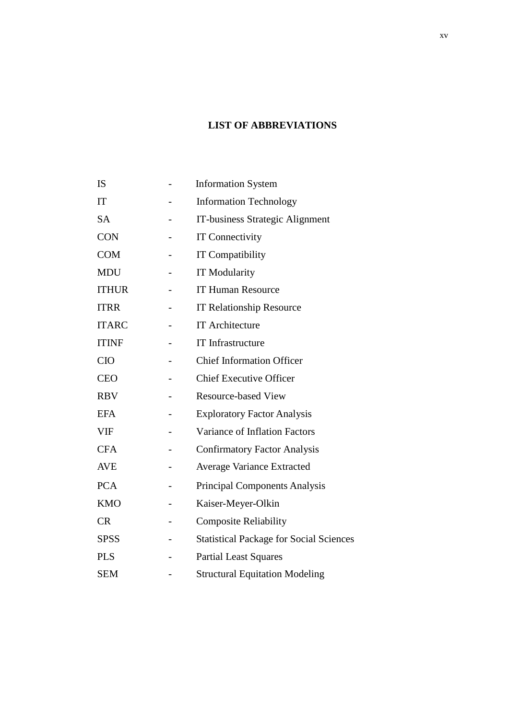# **LIST OF ABBREVIATIONS**

| IS           |   | <b>Information System</b>                      |
|--------------|---|------------------------------------------------|
| IT           |   | <b>Information Technology</b>                  |
| <b>SA</b>    |   | IT-business Strategic Alignment                |
| <b>CON</b>   |   | <b>IT Connectivity</b>                         |
| <b>COM</b>   |   | <b>IT Compatibility</b>                        |
| <b>MDU</b>   |   | <b>IT Modularity</b>                           |
| <b>ITHUR</b> |   | <b>IT Human Resource</b>                       |
| <b>ITRR</b>  |   | <b>IT Relationship Resource</b>                |
| <b>ITARC</b> |   | <b>IT Architecture</b>                         |
| <b>ITINF</b> |   | IT Infrastructure                              |
| <b>CIO</b>   |   | <b>Chief Information Officer</b>               |
| <b>CEO</b>   |   | <b>Chief Executive Officer</b>                 |
| <b>RBV</b>   |   | <b>Resource-based View</b>                     |
| EFA          |   | <b>Exploratory Factor Analysis</b>             |
| <b>VIF</b>   |   | Variance of Inflation Factors                  |
| <b>CFA</b>   |   | <b>Confirmatory Factor Analysis</b>            |
| <b>AVE</b>   |   | <b>Average Variance Extracted</b>              |
| <b>PCA</b>   |   | <b>Principal Components Analysis</b>           |
| <b>KMO</b>   |   | Kaiser-Meyer-Olkin                             |
| CR           | - | <b>Composite Reliability</b>                   |
| <b>SPSS</b>  |   | <b>Statistical Package for Social Sciences</b> |
| <b>PLS</b>   |   | <b>Partial Least Squares</b>                   |
| <b>SEM</b>   |   | <b>Structural Equitation Modeling</b>          |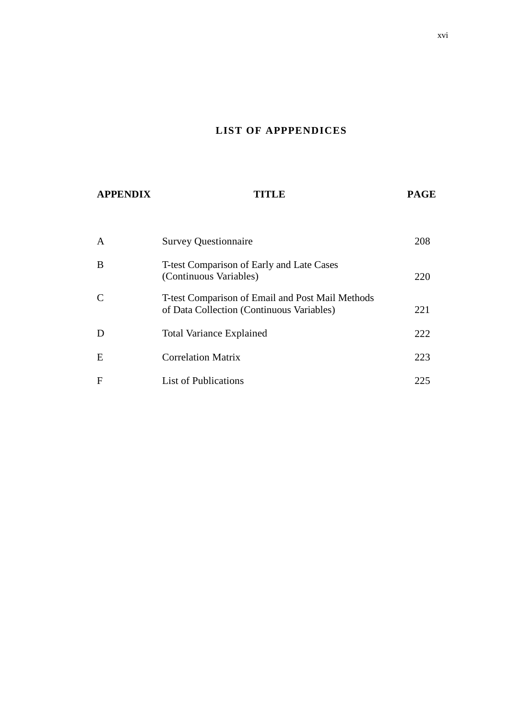# **LIST OF APPPENDICES**

| <b>APPENDIX</b> | TITLE                                                                                         | <b>PAGE</b> |  |
|-----------------|-----------------------------------------------------------------------------------------------|-------------|--|
|                 |                                                                                               |             |  |
| $\mathsf{A}$    | <b>Survey Questionnaire</b>                                                                   | 208         |  |
| B               | T-test Comparison of Early and Late Cases<br>(Continuous Variables)                           | 220         |  |
| $\mathcal{C}$   | T-test Comparison of Email and Post Mail Methods<br>of Data Collection (Continuous Variables) | 221         |  |
| D               | <b>Total Variance Explained</b>                                                               | 222         |  |
| E               | <b>Correlation Matrix</b>                                                                     | 223         |  |
| $\mathbf F$     | <b>List of Publications</b>                                                                   | 225         |  |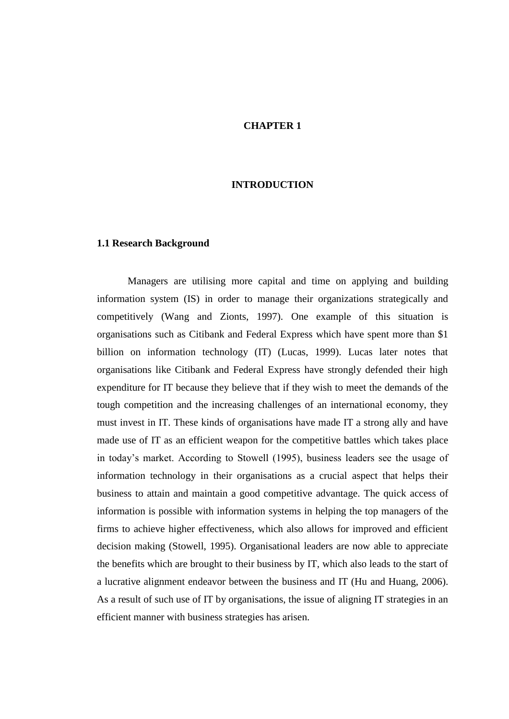# **CHAPTER 1**

## **INTRODUCTION**

### **1.1 Research Background**

Managers are utilising more capital and time on applying and building information system (IS) in order to manage their organizations strategically and competitively (Wang and Zionts, 1997). One example of this situation is organisations such as Citibank and Federal Express which have spent more than \$1 billion on information technology (IT) (Lucas, 1999). Lucas later notes that organisations like Citibank and Federal Express have strongly defended their high expenditure for IT because they believe that if they wish to meet the demands of the tough competition and the increasing challenges of an international economy, they must invest in IT. These kinds of organisations have made IT a strong ally and have made use of IT as an efficient weapon for the competitive battles which takes place in today"s market. According to Stowell (1995), business leaders see the usage of information technology in their organisations as a crucial aspect that helps their business to attain and maintain a good competitive advantage. The quick access of information is possible with information systems in helping the top managers of the firms to achieve higher effectiveness, which also allows for improved and efficient decision making (Stowell, 1995). Organisational leaders are now able to appreciate the benefits which are brought to their business by IT, which also leads to the start of a lucrative alignment endeavor between the business and IT (Hu and Huang, 2006). As a result of such use of IT by organisations, the issue of aligning IT strategies in an efficient manner with business strategies has arisen.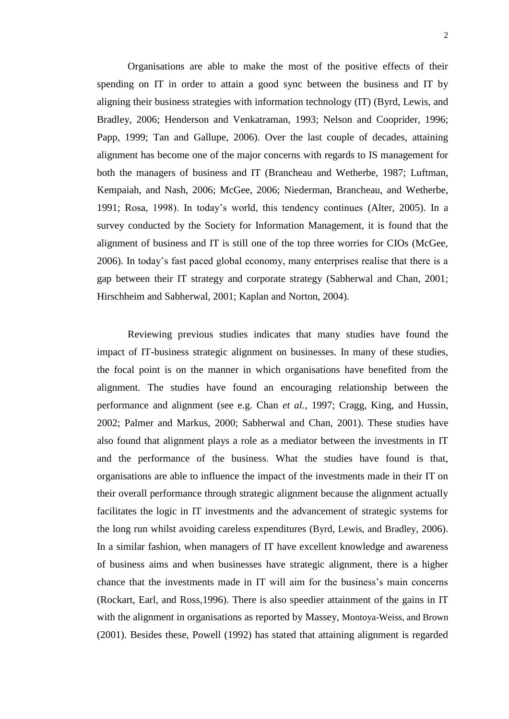Organisations are able to make the most of the positive effects of their spending on IT in order to attain a good sync between the business and IT by aligning their business strategies with information technology (IT) (Byrd, Lewis, and Bradley*,* 2006; Henderson and Venkatraman, 1993; Nelson and Cooprider, 1996; Papp, 1999; Tan and Gallupe, 2006). Over the last couple of decades, attaining alignment has become one of the major concerns with regards to IS management for both the managers of business and IT (Brancheau and Wetherbe, 1987; Luftman, Kempaiah, and Nash, 2006; McGee, 2006; Niederman, Brancheau, and Wetherbe, 1991; Rosa, 1998). In today"s world, this tendency continues (Alter, 2005). In a survey conducted by the Society for Information Management, it is found that the alignment of business and IT is still one of the top three worries for CIOs (McGee, 2006). In today"s fast paced global economy, many enterprises realise that there is a gap between their IT strategy and corporate strategy (Sabherwal and Chan, 2001; Hirschheim and Sabherwal, 2001; Kaplan and Norton, 2004).

Reviewing previous studies indicates that many studies have found the impact of IT-business strategic alignment on businesses. In many of these studies, the focal point is on the manner in which organisations have benefited from the alignment. The studies have found an encouraging relationship between the performance and alignment (see e.g. Chan *et al.*, 1997; Cragg, King, and Hussin, 2002; Palmer and Markus, 2000; Sabherwal and Chan, 2001). These studies have also found that alignment plays a role as a mediator between the investments in IT and the performance of the business. What the studies have found is that, organisations are able to influence the impact of the investments made in their IT on their overall performance through strategic alignment because the alignment actually facilitates the logic in IT investments and the advancement of strategic systems for the long run whilst avoiding careless expenditures (Byrd, Lewis, and Bradley*,* 2006). In a similar fashion, when managers of IT have excellent knowledge and awareness of business aims and when businesses have strategic alignment, there is a higher chance that the investments made in IT will aim for the business"s main concerns (Rockart, Earl, and Ross*,*1996). There is also speedier attainment of the gains in IT with the alignment in organisations as reported by Massey, Montoya-Weiss, and Brown (2001). Besides these, Powell (1992) has stated that attaining alignment is regarded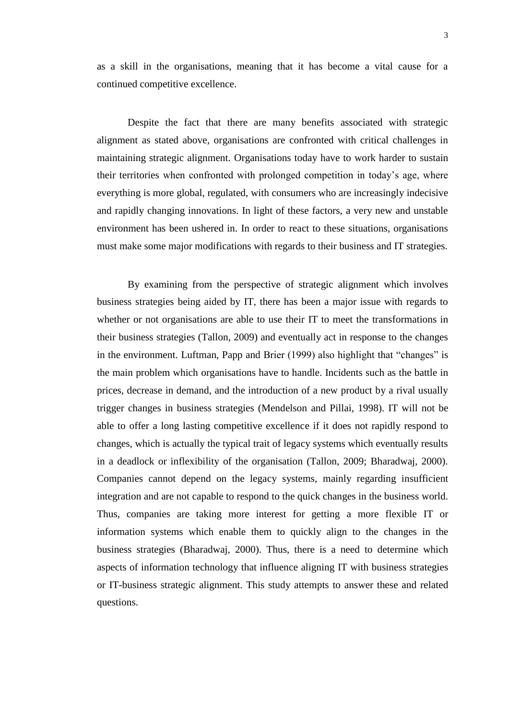as a skill in the organisations, meaning that it has become a vital cause for a continued competitive excellence.

Despite the fact that there are many benefits associated with strategic alignment as stated above, organisations are confronted with critical challenges in maintaining strategic alignment. Organisations today have to work harder to sustain their territories when confronted with prolonged competition in today"s age, where everything is more global, regulated, with consumers who are increasingly indecisive and rapidly changing innovations. In light of these factors, a very new and unstable environment has been ushered in. In order to react to these situations, organisations must make some major modifications with regards to their business and IT strategies.

By examining from the perspective of strategic alignment which involves business strategies being aided by IT, there has been a major issue with regards to whether or not organisations are able to use their IT to meet the transformations in their business strategies (Tallon, 2009) and eventually act in response to the changes in the environment. Luftman, Papp and Brier (1999) also highlight that "changes" is the main problem which organisations have to handle. Incidents such as the battle in prices, decrease in demand, and the introduction of a new product by a rival usually trigger changes in business strategies (Mendelson and Pillai, 1998). IT will not be able to offer a long lasting competitive excellence if it does not rapidly respond to changes, which is actually the typical trait of legacy systems which eventually results in a deadlock or inflexibility of the organisation (Tallon, 2009; Bharadwaj, 2000). Companies cannot depend on the legacy systems, mainly regarding insufficient integration and are not capable to respond to the quick changes in the business world. Thus, companies are taking more interest for getting a more flexible IT or information systems which enable them to quickly align to the changes in the business strategies (Bharadwaj, 2000). Thus, there is a need to determine which aspects of information technology that influence aligning IT with business strategies or IT-business strategic alignment. This study attempts to answer these and related questions.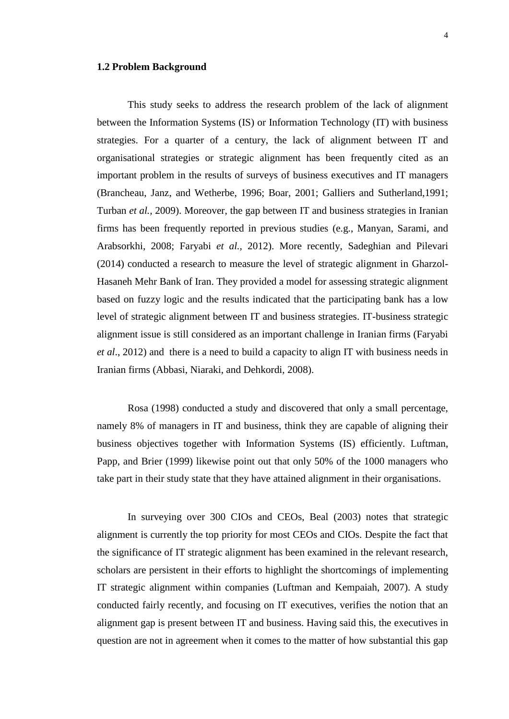## **1.2 Problem Background**

This study seeks to address the research problem of the lack of alignment between the Information Systems (IS) or Information Technology (IT) with business strategies. For a quarter of a century, the lack of alignment between IT and organisational strategies or strategic alignment has been frequently cited as an important problem in the results of surveys of business executives and IT managers (Brancheau, Janz, and Wetherbe, 1996; Boar, 2001; Galliers and Sutherland,1991; Turban *et al.,* 2009). Moreover, the gap between IT and business strategies in Iranian firms has been frequently reported in previous studies (e.g., Manyan, Sarami, and Arabsorkhi, 2008; Faryabi *et al.,* 2012). More recently, Sadeghian and Pilevari (2014) conducted a research to measure the level of strategic alignment in Gharzol-Hasaneh Mehr Bank of Iran. They provided a model for assessing strategic alignment based on fuzzy logic and the results indicated that the participating bank has a low level of strategic alignment between IT and business strategies. IT-business strategic alignment issue is still considered as an important challenge in Iranian firms (Faryabi *et al*., 2012) and there is a need to build a capacity to align IT with business needs in Iranian firms (Abbasi, Niaraki, and Dehkordi, 2008).

Rosa (1998) conducted a study and discovered that only a small percentage, namely 8% of managers in IT and business, think they are capable of aligning their business objectives together with Information Systems (IS) efficiently. Luftman, Papp, and Brier (1999) likewise point out that only 50% of the 1000 managers who take part in their study state that they have attained alignment in their organisations.

In surveying over 300 CIOs and CEOs, Beal (2003) notes that strategic alignment is currently the top priority for most CEOs and CIOs. Despite the fact that the significance of IT strategic alignment has been examined in the relevant research, scholars are persistent in their efforts to highlight the shortcomings of implementing IT strategic alignment within companies (Luftman and Kempaiah, 2007). A study conducted fairly recently, and focusing on IT executives, verifies the notion that an alignment gap is present between IT and business. Having said this, the executives in question are not in agreement when it comes to the matter of how substantial this gap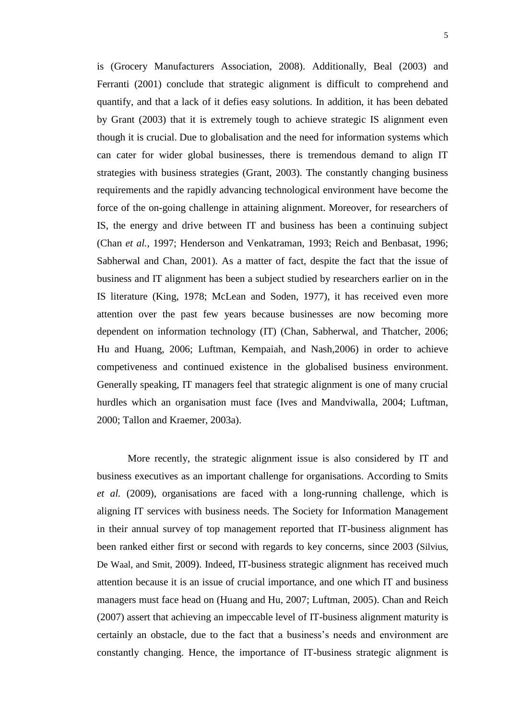is (Grocery Manufacturers Association, 2008). Additionally, Beal (2003) and Ferranti (2001) conclude that strategic alignment is difficult to comprehend and quantify, and that a lack of it defies easy solutions. In addition, it has been debated by Grant (2003) that it is extremely tough to achieve strategic IS alignment even though it is crucial. Due to globalisation and the need for information systems which can cater for wider global businesses, there is tremendous demand to align IT strategies with business strategies (Grant, 2003). The constantly changing business requirements and the rapidly advancing technological environment have become the force of the on-going challenge in attaining alignment. Moreover, for researchers of IS, the energy and drive between IT and business has been a continuing subject (Chan *et al.,* 1997; Henderson and Venkatraman, 1993; Reich and Benbasat, 1996; Sabherwal and Chan, 2001). As a matter of fact, despite the fact that the issue of business and IT alignment has been a subject studied by researchers earlier on in the IS literature (King, 1978; McLean and Soden, 1977), it has received even more attention over the past few years because businesses are now becoming more dependent on information technology (IT) (Chan, Sabherwal, and Thatcher, 2006; Hu and Huang, 2006; Luftman, Kempaiah, and Nash*,*2006) in order to achieve competiveness and continued existence in the globalised business environment. Generally speaking, IT managers feel that strategic alignment is one of many crucial hurdles which an organisation must face (Ives and Mandviwalla, 2004; Luftman, 2000; Tallon and Kraemer, 2003a).

More recently, the strategic alignment issue is also considered by IT and business executives as an important challenge for organisations. According to Smits *et al.* (2009), organisations are faced with a long-running challenge, which is aligning IT services with business needs. The Society for Information Management in their annual survey of top management reported that IT-business alignment has been ranked either first or second with regards to key concerns, since 2003 (Silvius, De Waal, and Smit, 2009). Indeed, IT-business strategic alignment has received much attention because it is an issue of crucial importance, and one which IT and business managers must face head on (Huang and Hu, 2007; Luftman, 2005). Chan and Reich (2007) assert that achieving an impeccable level of IT-business alignment maturity is certainly an obstacle, due to the fact that a business"s needs and environment are constantly changing. Hence, the importance of IT-business strategic alignment is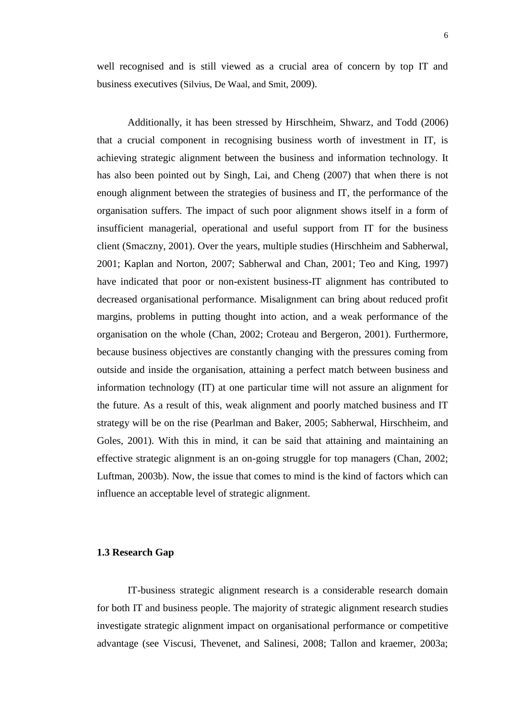well recognised and is still viewed as a crucial area of concern by top IT and business executives (Silvius, De Waal, and Smit, 2009).

Additionally, it has been stressed by Hirschheim, Shwarz, and Todd (2006) that a crucial component in recognising business worth of investment in IT, is achieving strategic alignment between the business and information technology. It has also been pointed out by Singh, Lai, and Cheng (2007) that when there is not enough alignment between the strategies of business and IT, the performance of the organisation suffers. The impact of such poor alignment shows itself in a form of insufficient managerial, operational and useful support from IT for the business client (Smaczny, 2001). Over the years, multiple studies (Hirschheim and Sabherwal, 2001; Kaplan and Norton, 2007; Sabherwal and Chan, 2001; Teo and King, 1997) have indicated that poor or non-existent business-IT alignment has contributed to decreased organisational performance. Misalignment can bring about reduced profit margins, problems in putting thought into action, and a weak performance of the organisation on the whole (Chan, 2002; Croteau and Bergeron, 2001). Furthermore, because business objectives are constantly changing with the pressures coming from outside and inside the organisation, attaining a perfect match between business and information technology (IT) at one particular time will not assure an alignment for the future. As a result of this, weak alignment and poorly matched business and IT strategy will be on the rise (Pearlman and Baker, 2005; Sabherwal, Hirschheim, and Goles, 2001). With this in mind, it can be said that attaining and maintaining an effective strategic alignment is an on-going struggle for top managers (Chan, 2002; Luftman, 2003b). Now, the issue that comes to mind is the kind of factors which can influence an acceptable level of strategic alignment.

## **1.3 Research Gap**

IT-business strategic alignment research is a considerable research domain for both IT and business people. The majority of strategic alignment research studies investigate strategic alignment impact on organisational performance or competitive advantage (see Viscusi, Thevenet, and Salinesi, 2008; Tallon and kraemer, 2003a;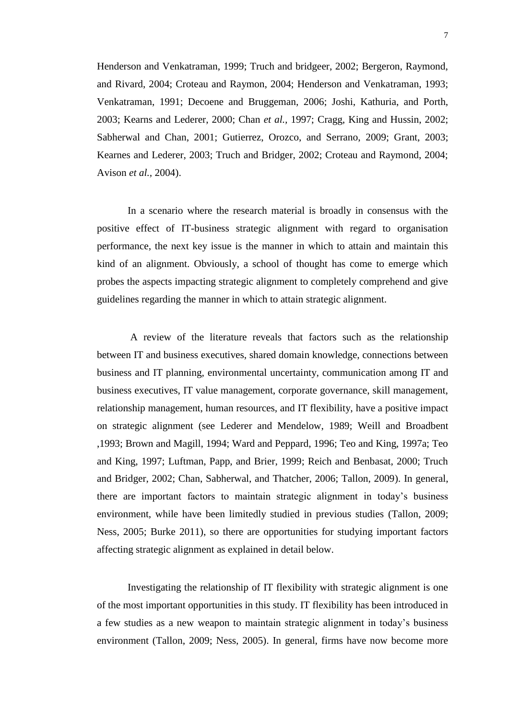Henderson and Venkatraman, 1999; Truch and bridgeer, 2002; Bergeron, Raymond, and Rivard, 2004; Croteau and Raymon, 2004; Henderson and Venkatraman, 1993; Venkatraman, 1991; Decoene and Bruggeman, 2006; Joshi, Kathuria, and Porth, 2003; Kearns and Lederer, 2000; Chan *et al.,* 1997; Cragg, King and Hussin, 2002; Sabherwal and Chan, 2001; Gutierrez, Orozco, and Serrano, 2009; Grant, 2003; Kearnes and Lederer, 2003; Truch and Bridger, 2002; Croteau and Raymond, 2004; Avison *et al.,* 2004).

In a scenario where the research material is broadly in consensus with the positive effect of IT-business strategic alignment with regard to organisation performance, the next key issue is the manner in which to attain and maintain this kind of an alignment. Obviously, a school of thought has come to emerge which probes the aspects impacting strategic alignment to completely comprehend and give guidelines regarding the manner in which to attain strategic alignment.

A review of the literature reveals that factors such as the relationship between IT and business executives, shared domain knowledge, connections between business and IT planning, environmental uncertainty, communication among IT and business executives, IT value management, corporate governance, skill management, relationship management, human resources, and IT flexibility, have a positive impact on strategic alignment (see Lederer and Mendelow, 1989; Weill and Broadbent ,1993; Brown and Magill, 1994; Ward and Peppard, 1996; Teo and King, 1997a; Teo and King, 1997; Luftman, Papp, and Brier, 1999; Reich and Benbasat, 2000; Truch and Bridger, 2002; Chan, Sabherwal, and Thatcher, 2006; Tallon, 2009). In general, there are important factors to maintain strategic alignment in today"s business environment, while have been limitedly studied in previous studies (Tallon, 2009; Ness, 2005; Burke 2011), so there are opportunities for studying important factors affecting strategic alignment as explained in detail below.

Investigating the relationship of IT flexibility with strategic alignment is one of the most important opportunities in this study. IT flexibility has been introduced in a few studies as a new weapon to maintain strategic alignment in today"s business environment (Tallon, 2009; Ness, 2005). In general, firms have now become more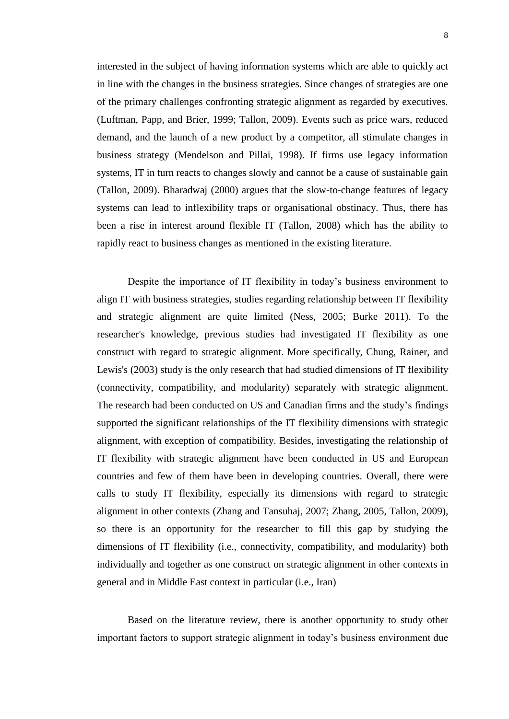interested in the subject of having information systems which are able to quickly act in line with the changes in the business strategies. Since changes of strategies are one of the primary challenges confronting strategic alignment as regarded by executives. (Luftman, Papp, and Brier, 1999; Tallon, 2009). Events such as price wars, reduced demand, and the launch of a new product by a competitor, all stimulate changes in business strategy (Mendelson and Pillai, 1998). If firms use legacy information systems, IT in turn reacts to changes slowly and cannot be a cause of sustainable gain (Tallon, 2009). Bharadwaj (2000) argues that the slow-to-change features of legacy systems can lead to inflexibility traps or organisational obstinacy. Thus, there has been a rise in interest around flexible IT (Tallon, 2008) which has the ability to rapidly react to business changes as mentioned in the existing literature.

Despite the importance of IT flexibility in today's business environment to align IT with business strategies, studies regarding relationship between IT flexibility and strategic alignment are quite limited (Ness, 2005; Burke 2011). To the researcher's knowledge, previous studies had investigated IT flexibility as one construct with regard to strategic alignment. More specifically, Chung, Rainer, and Lewis's (2003) study is the only research that had studied dimensions of IT flexibility (connectivity, compatibility, and modularity) separately with strategic alignment. The research had been conducted on US and Canadian firms and the study"s findings supported the significant relationships of the IT flexibility dimensions with strategic alignment, with exception of compatibility. Besides, investigating the relationship of IT flexibility with strategic alignment have been conducted in US and European countries and few of them have been in developing countries. Overall, there were calls to study IT flexibility, especially its dimensions with regard to strategic alignment in other contexts (Zhang and Tansuhaj, 2007; Zhang, 2005, Tallon, 2009), so there is an opportunity for the researcher to fill this gap by studying the dimensions of IT flexibility (i.e., connectivity, compatibility, and modularity) both individually and together as one construct on strategic alignment in other contexts in general and in Middle East context in particular (i.e., Iran)

Based on the literature review, there is another opportunity to study other important factors to support strategic alignment in today"s business environment due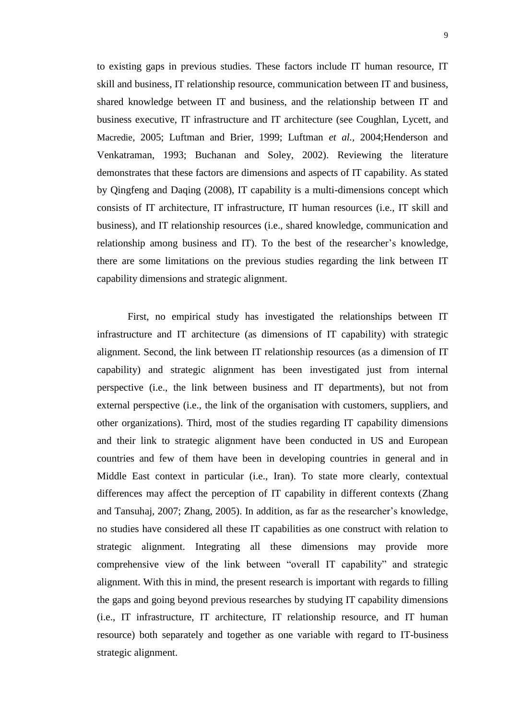to existing gaps in previous studies. These factors include IT human resource, IT skill and business, IT relationship resource, communication between IT and business, shared knowledge between IT and business, and the relationship between IT and business executive, IT infrastructure and IT architecture (see Coughlan, Lycett, and Macredie*,* 2005; Luftman and Brier, 1999; Luftman *et al.,* 2004;Henderson and Venkatraman, 1993; Buchanan and Soley, 2002). Reviewing the literature demonstrates that these factors are dimensions and aspects of IT capability. As stated by Qingfeng and Daqing (2008), IT capability is a multi-dimensions concept which consists of IT architecture, IT infrastructure, IT human resources (i.e., IT skill and business), and IT relationship resources (i.e., shared knowledge, communication and relationship among business and IT). To the best of the researcher"s knowledge, there are some limitations on the previous studies regarding the link between IT capability dimensions and strategic alignment.

First, no empirical study has investigated the relationships between IT infrastructure and IT architecture (as dimensions of IT capability) with strategic alignment. Second, the link between IT relationship resources (as a dimension of IT capability) and strategic alignment has been investigated just from internal perspective (i.e., the link between business and IT departments), but not from external perspective (i.e., the link of the organisation with customers, suppliers, and other organizations). Third, most of the studies regarding IT capability dimensions and their link to strategic alignment have been conducted in US and European countries and few of them have been in developing countries in general and in Middle East context in particular (i.e., Iran). To state more clearly, contextual differences may affect the perception of IT capability in different contexts (Zhang and Tansuhaj, 2007; Zhang, 2005). In addition, as far as the researcher"s knowledge, no studies have considered all these IT capabilities as one construct with relation to strategic alignment. Integrating all these dimensions may provide more comprehensive view of the link between "overall IT capability" and strategic alignment. With this in mind, the present research is important with regards to filling the gaps and going beyond previous researches by studying IT capability dimensions (i.e., IT infrastructure, IT architecture, IT relationship resource, and IT human resource) both separately and together as one variable with regard to IT-business strategic alignment.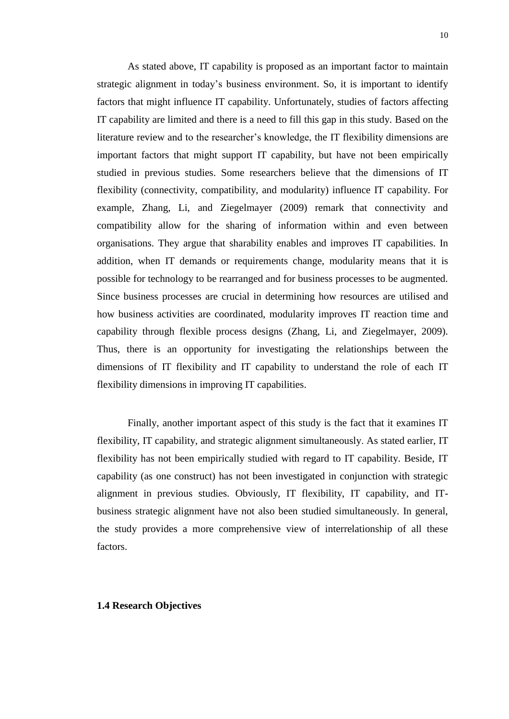As stated above, IT capability is proposed as an important factor to maintain strategic alignment in today"s business environment. So, it is important to identify factors that might influence IT capability. Unfortunately, studies of factors affecting IT capability are limited and there is a need to fill this gap in this study. Based on the literature review and to the researcher's knowledge, the IT flexibility dimensions are important factors that might support IT capability, but have not been empirically studied in previous studies. Some researchers believe that the dimensions of IT flexibility (connectivity, compatibility, and modularity) influence IT capability. For example, Zhang, Li, and Ziegelmayer (2009) remark that connectivity and compatibility allow for the sharing of information within and even between organisations. They argue that sharability enables and improves IT capabilities. In addition, when IT demands or requirements change, modularity means that it is possible for technology to be rearranged and for business processes to be augmented. Since business processes are crucial in determining how resources are utilised and how business activities are coordinated, modularity improves IT reaction time and capability through flexible process designs (Zhang, Li, and Ziegelmayer, 2009). Thus, there is an opportunity for investigating the relationships between the dimensions of IT flexibility and IT capability to understand the role of each IT flexibility dimensions in improving IT capabilities.

Finally, another important aspect of this study is the fact that it examines IT flexibility, IT capability, and strategic alignment simultaneously. As stated earlier, IT flexibility has not been empirically studied with regard to IT capability. Beside, IT capability (as one construct) has not been investigated in conjunction with strategic alignment in previous studies. Obviously, IT flexibility, IT capability, and ITbusiness strategic alignment have not also been studied simultaneously. In general, the study provides a more comprehensive view of interrelationship of all these factors.

#### **1.4 Research Objectives**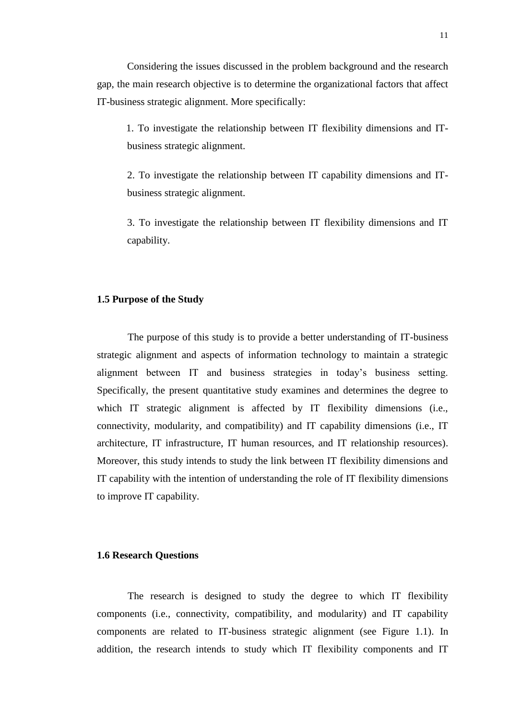Considering the issues discussed in the problem background and the research gap, the main research objective is to determine the organizational factors that affect IT-business strategic alignment. More specifically:

1. To investigate the relationship between IT flexibility dimensions and ITbusiness strategic alignment.

2. To investigate the relationship between IT capability dimensions and ITbusiness strategic alignment.

3. To investigate the relationship between IT flexibility dimensions and IT capability.

## **1.5 Purpose of the Study**

The purpose of this study is to provide a better understanding of IT-business strategic alignment and aspects of information technology to maintain a strategic alignment between IT and business strategies in today"s business setting. Specifically, the present quantitative study examines and determines the degree to which IT strategic alignment is affected by IT flexibility dimensions (i.e., connectivity, modularity, and compatibility) and IT capability dimensions (i.e., IT architecture, IT infrastructure, IT human resources, and IT relationship resources). Moreover, this study intends to study the link between IT flexibility dimensions and IT capability with the intention of understanding the role of IT flexibility dimensions to improve IT capability.

#### **1.6 Research Questions**

The research is designed to study the degree to which IT flexibility components (i.e., connectivity, compatibility, and modularity) and IT capability components are related to IT-business strategic alignment (see Figure 1.1). In addition, the research intends to study which IT flexibility components and IT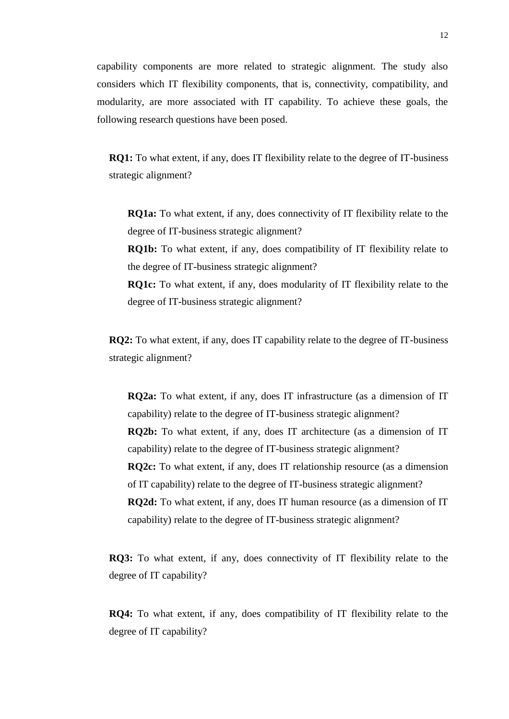capability components are more related to strategic alignment. The study also considers which IT flexibility components, that is, connectivity, compatibility, and modularity, are more associated with IT capability. To achieve these goals, the following research questions have been posed.

**RQ1:** To what extent, if any, does IT flexibility relate to the degree of IT-business strategic alignment?

**RQ1a:** To what extent, if any, does connectivity of IT flexibility relate to the degree of IT-business strategic alignment?

**RQ1b:** To what extent, if any, does compatibility of IT flexibility relate to the degree of IT-business strategic alignment?

**RQ1c:** To what extent, if any, does modularity of IT flexibility relate to the degree of IT-business strategic alignment?

**RQ2:** To what extent, if any, does IT capability relate to the degree of IT-business strategic alignment?

**RQ2a:** To what extent, if any, does IT infrastructure (as a dimension of IT capability) relate to the degree of IT-business strategic alignment? **RQ2b:** To what extent, if any, does IT architecture (as a dimension of IT capability) relate to the degree of IT-business strategic alignment? **RQ2c:** To what extent, if any, does IT relationship resource (as a dimension of IT capability) relate to the degree of IT-business strategic alignment? **RQ2d:** To what extent, if any, does IT human resource (as a dimension of IT capability) relate to the degree of IT-business strategic alignment?

**RQ3:** To what extent, if any, does connectivity of IT flexibility relate to the degree of IT capability?

**RQ4:** To what extent, if any, does compatibility of IT flexibility relate to the degree of IT capability?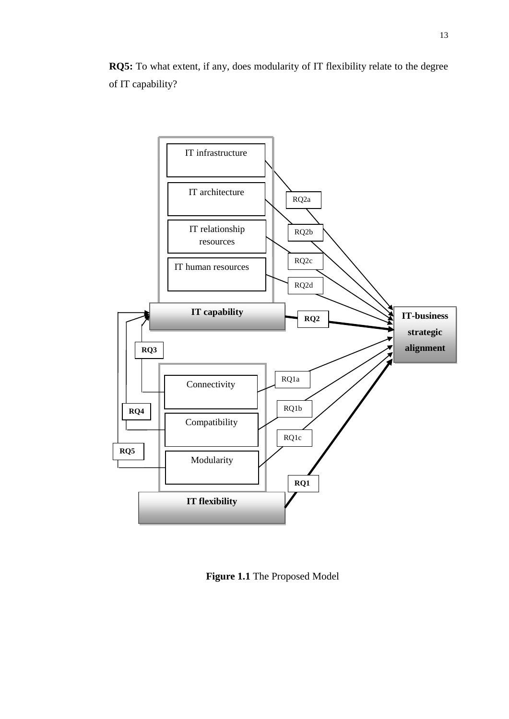**RQ5:** To what extent, if any, does modularity of IT flexibility relate to the degree of IT capability?



**Figure 1.1** The Proposed Model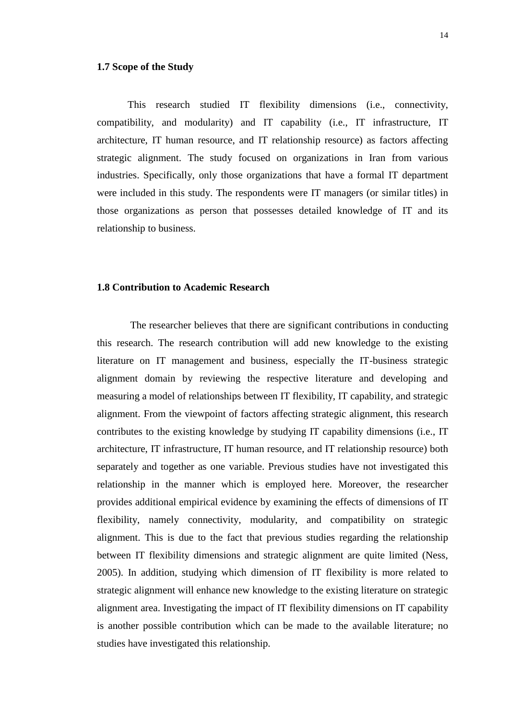## **1.7 Scope of the Study**

This research studied IT flexibility dimensions (i.e., connectivity, compatibility, and modularity) and IT capability (i.e., IT infrastructure, IT architecture, IT human resource, and IT relationship resource) as factors affecting strategic alignment. The study focused on organizations in Iran from various industries. Specifically, only those organizations that have a formal IT department were included in this study. The respondents were IT managers (or similar titles) in those organizations as person that possesses detailed knowledge of IT and its relationship to business.

### **1.8 Contribution to Academic Research**

The researcher believes that there are significant contributions in conducting this research. The research contribution will add new knowledge to the existing literature on IT management and business, especially the IT-business strategic alignment domain by reviewing the respective literature and developing and measuring a model of relationships between IT flexibility, IT capability, and strategic alignment. From the viewpoint of factors affecting strategic alignment, this research contributes to the existing knowledge by studying IT capability dimensions (i.e., IT architecture, IT infrastructure, IT human resource, and IT relationship resource) both separately and together as one variable. Previous studies have not investigated this relationship in the manner which is employed here. Moreover, the researcher provides additional empirical evidence by examining the effects of dimensions of IT flexibility, namely connectivity, modularity, and compatibility on strategic alignment. This is due to the fact that previous studies regarding the relationship between IT flexibility dimensions and strategic alignment are quite limited (Ness, 2005). In addition, studying which dimension of IT flexibility is more related to strategic alignment will enhance new knowledge to the existing literature on strategic alignment area. Investigating the impact of IT flexibility dimensions on IT capability is another possible contribution which can be made to the available literature; no studies have investigated this relationship.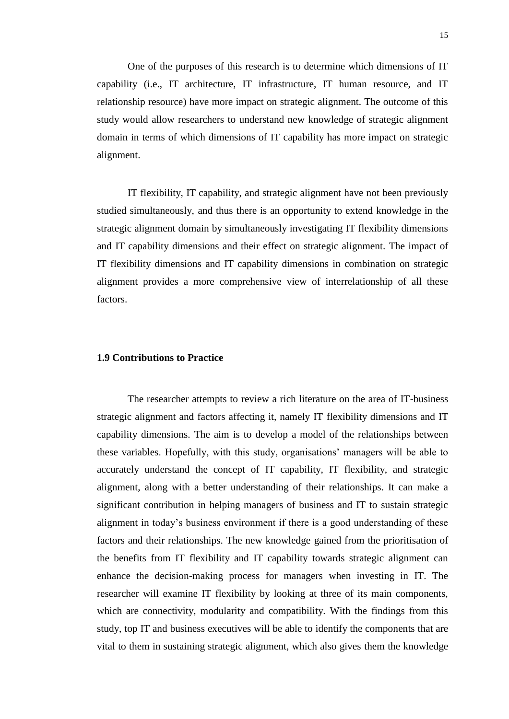One of the purposes of this research is to determine which dimensions of IT capability (i.e., IT architecture, IT infrastructure, IT human resource, and IT relationship resource) have more impact on strategic alignment. The outcome of this study would allow researchers to understand new knowledge of strategic alignment domain in terms of which dimensions of IT capability has more impact on strategic alignment.

IT flexibility, IT capability, and strategic alignment have not been previously studied simultaneously, and thus there is an opportunity to extend knowledge in the strategic alignment domain by simultaneously investigating IT flexibility dimensions and IT capability dimensions and their effect on strategic alignment. The impact of IT flexibility dimensions and IT capability dimensions in combination on strategic alignment provides a more comprehensive view of interrelationship of all these factors.

### **1.9 Contributions to Practice**

The researcher attempts to review a rich literature on the area of IT-business strategic alignment and factors affecting it, namely IT flexibility dimensions and IT capability dimensions. The aim is to develop a model of the relationships between these variables. Hopefully, with this study, organisations" managers will be able to accurately understand the concept of IT capability, IT flexibility, and strategic alignment, along with a better understanding of their relationships. It can make a significant contribution in helping managers of business and IT to sustain strategic alignment in today"s business environment if there is a good understanding of these factors and their relationships. The new knowledge gained from the prioritisation of the benefits from IT flexibility and IT capability towards strategic alignment can enhance the decision-making process for managers when investing in IT. The researcher will examine IT flexibility by looking at three of its main components, which are connectivity, modularity and compatibility. With the findings from this study, top IT and business executives will be able to identify the components that are vital to them in sustaining strategic alignment, which also gives them the knowledge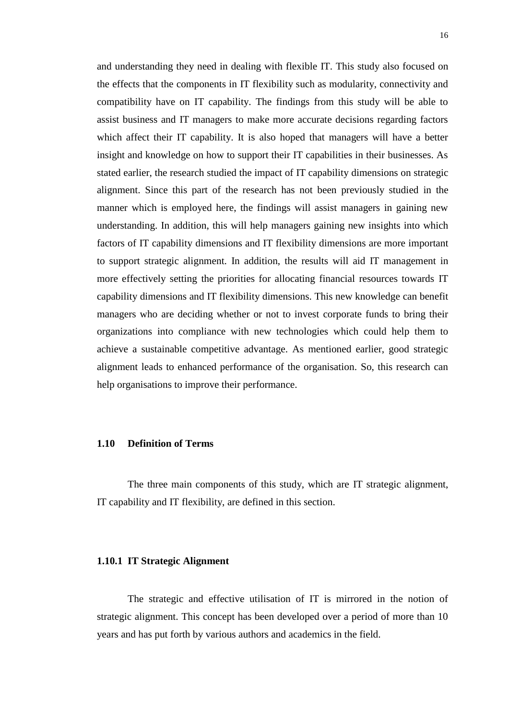and understanding they need in dealing with flexible IT. This study also focused on the effects that the components in IT flexibility such as modularity, connectivity and compatibility have on IT capability. The findings from this study will be able to assist business and IT managers to make more accurate decisions regarding factors which affect their IT capability. It is also hoped that managers will have a better insight and knowledge on how to support their IT capabilities in their businesses. As stated earlier, the research studied the impact of IT capability dimensions on strategic alignment. Since this part of the research has not been previously studied in the manner which is employed here, the findings will assist managers in gaining new understanding. In addition, this will help managers gaining new insights into which factors of IT capability dimensions and IT flexibility dimensions are more important to support strategic alignment. In addition, the results will aid IT management in more effectively setting the priorities for allocating financial resources towards IT capability dimensions and IT flexibility dimensions. This new knowledge can benefit managers who are deciding whether or not to invest corporate funds to bring their organizations into compliance with new technologies which could help them to achieve a sustainable competitive advantage. As mentioned earlier, good strategic alignment leads to enhanced performance of the organisation. So, this research can help organisations to improve their performance.

# **1.10 Definition of Terms**

The three main components of this study, which are IT strategic alignment, IT capability and IT flexibility, are defined in this section.

#### **1.10.1 IT Strategic Alignment**

The strategic and effective utilisation of IT is mirrored in the notion of strategic alignment. This concept has been developed over a period of more than 10 years and has put forth by various authors and academics in the field.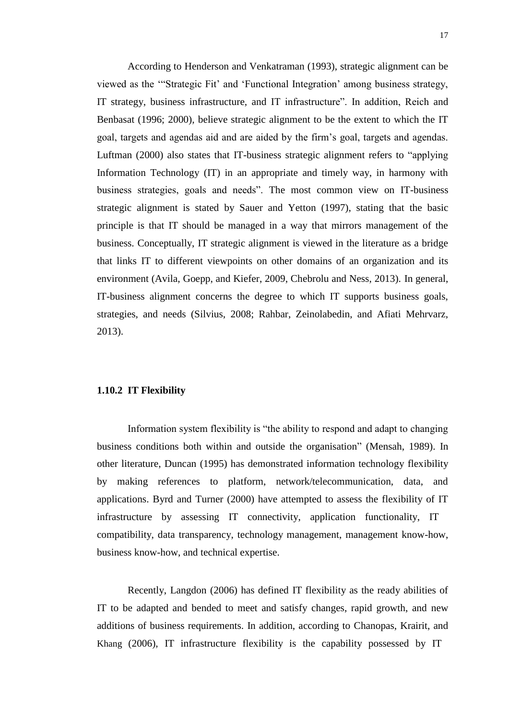According to Henderson and Venkatraman (1993), strategic alignment can be viewed as the ""Strategic Fit" and "Functional Integration" among business strategy, IT strategy, business infrastructure, and IT infrastructure". In addition, Reich and Benbasat (1996; 2000), believe strategic alignment to be the extent to which the IT goal, targets and agendas aid and are aided by the firm"s goal, targets and agendas. Luftman (2000) also states that IT-business strategic alignment refers to "applying Information Technology (IT) in an appropriate and timely way, in harmony with business strategies, goals and needs". The most common view on IT-business strategic alignment is stated by Sauer and Yetton (1997), stating that the basic principle is that IT should be managed in a way that mirrors management of the business. Conceptually, IT strategic alignment is viewed in the literature as a bridge that links IT to different viewpoints on other domains of an organization and its environment (Avila, Goepp, and Kiefer, 2009, Chebrolu and Ness, 2013). In general, IT-business alignment concerns the degree to which IT supports business goals, strategies, and needs (Silvius, 2008; Rahbar, Zeinolabedin, and Afiati Mehrvarz, 2013).

# **1.10.2 IT Flexibility**

Information system flexibility is "the ability to respond and adapt to changing business conditions both within and outside the organisation" (Mensah, 1989). In other literature, Duncan (1995) has demonstrated information technology flexibility by making references to platform, network/telecommunication, data, and applications. Byrd and Turner (2000) have attempted to assess the flexibility of IT infrastructure by assessing IT connectivity, application functionality, IT compatibility, data transparency, technology management, management know-how, business know-how, and technical expertise.

Recently, Langdon (2006) has defined IT flexibility as the ready abilities of IT to be adapted and bended to meet and satisfy changes, rapid growth, and new additions of business requirements. In addition, according to Chanopas, Krairit, and Khang (2006), IT infrastructure flexibility is the capability possessed by IT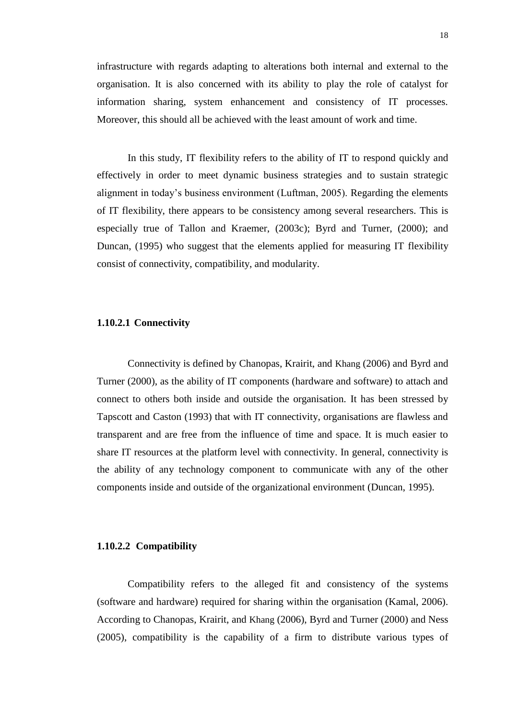infrastructure with regards adapting to alterations both internal and external to the organisation. It is also concerned with its ability to play the role of catalyst for information sharing, system enhancement and consistency of IT processes. Moreover, this should all be achieved with the least amount of work and time.

In this study, IT flexibility refers to the ability of IT to respond quickly and effectively in order to meet dynamic business strategies and to sustain strategic alignment in today"s business environment (Luftman, 2005). Regarding the elements of IT flexibility, there appears to be consistency among several researchers. This is especially true of Tallon and Kraemer, (2003c); Byrd and Turner, (2000); and Duncan, (1995) who suggest that the elements applied for measuring IT flexibility consist of connectivity, compatibility, and modularity.

#### **1.10.2.1 Connectivity**

Connectivity is defined by Chanopas, Krairit, and Khang (2006) and Byrd and Turner (2000), as the ability of IT components (hardware and software) to attach and connect to others both inside and outside the organisation. It has been stressed by Tapscott and Caston (1993) that with IT connectivity, organisations are flawless and transparent and are free from the influence of time and space. It is much easier to share IT resources at the platform level with connectivity. In general, connectivity is the ability of any technology component to communicate with any of the other components inside and outside of the organizational environment (Duncan, 1995).

#### **1.10.2.2 Compatibility**

Compatibility refers to the alleged fit and consistency of the systems (software and hardware) required for sharing within the organisation (Kamal, 2006). According to Chanopas, Krairit, and Khang (2006), Byrd and Turner (2000) and Ness (2005), compatibility is the capability of a firm to distribute various types of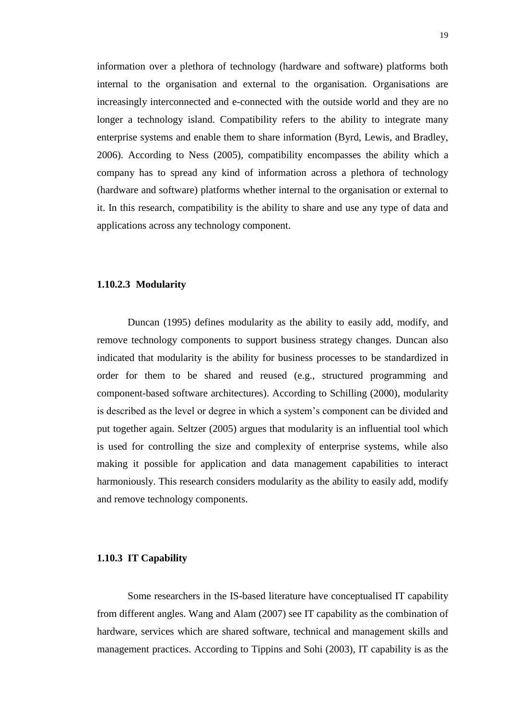information over a plethora of technology (hardware and software) platforms both internal to the organisation and external to the organisation. Organisations are increasingly interconnected and e-connected with the outside world and they are no longer a technology island. Compatibility refers to the ability to integrate many enterprise systems and enable them to share information (Byrd, Lewis, and Bradley*,* 2006). According to Ness (2005), compatibility encompasses the ability which a company has to spread any kind of information across a plethora of technology (hardware and software) platforms whether internal to the organisation or external to it. In this research, compatibility is the ability to share and use any type of data and applications across any technology component.

### **1.10.2.3 Modularity**

Duncan (1995) defines modularity as the ability to easily add, modify, and remove technology components to support business strategy changes. Duncan also indicated that modularity is the ability for business processes to be standardized in order for them to be shared and reused (e.g., structured programming and component-based software architectures). According to Schilling (2000), modularity is described as the level or degree in which a system"s component can be divided and put together again. Seltzer (2005) argues that modularity is an influential tool which is used for controlling the size and complexity of enterprise systems, while also making it possible for application and data management capabilities to interact harmoniously. This research considers modularity as the ability to easily add, modify and remove technology components.

### **1.10.3 IT Capability**

Some researchers in the IS-based literature have conceptualised IT capability from different angles. Wang and Alam (2007) see IT capability as the combination of hardware, services which are shared software, technical and management skills and management practices. According to Tippins and Sohi (2003), IT capability is as the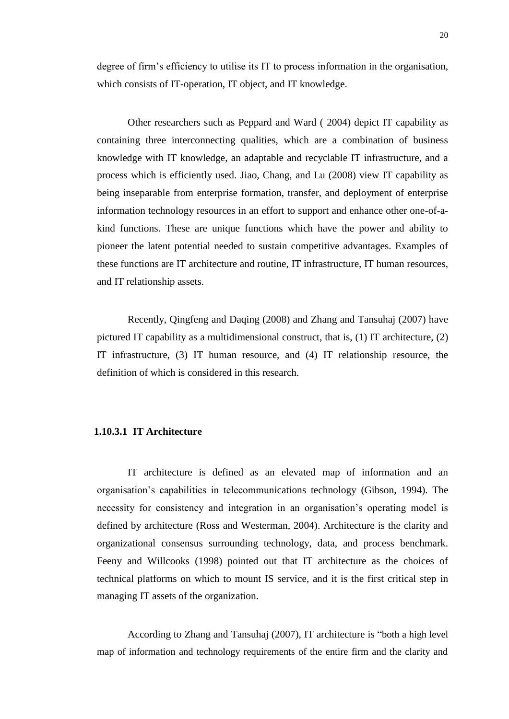degree of firm's efficiency to utilise its IT to process information in the organisation, which consists of IT-operation, IT object, and IT knowledge.

Other researchers such as Peppard and Ward ( 2004) depict IT capability as containing three interconnecting qualities, which are a combination of business knowledge with IT knowledge, an adaptable and recyclable IT infrastructure, and a process which is efficiently used. Jiao, Chang, and Lu (2008) view IT capability as being inseparable from enterprise formation, transfer, and deployment of enterprise information technology resources in an effort to support and enhance other one-of-akind functions. These are unique functions which have the power and ability to pioneer the latent potential needed to sustain competitive advantages. Examples of these functions are IT architecture and routine, IT infrastructure, IT human resources, and IT relationship assets.

Recently, Qingfeng and Daqing (2008) and Zhang and Tansuhaj (2007) have pictured IT capability as a multidimensional construct, that is, (1) IT architecture, (2) IT infrastructure, (3) IT human resource, and (4) IT relationship resource, the definition of which is considered in this research.

#### **1.10.3.1 IT Architecture**

IT architecture is defined as an elevated map of information and an organisation"s capabilities in telecommunications technology (Gibson, 1994). The necessity for consistency and integration in an organisation"s operating model is defined by architecture (Ross and Westerman, 2004). Architecture is the clarity and organizational consensus surrounding technology, data, and process benchmark. Feeny and Willcooks (1998) pointed out that IT architecture as the choices of technical platforms on which to mount IS service, and it is the first critical step in managing IT assets of the organization.

According to Zhang and Tansuhaj (2007), IT architecture is "both a high level map of information and technology requirements of the entire firm and the clarity and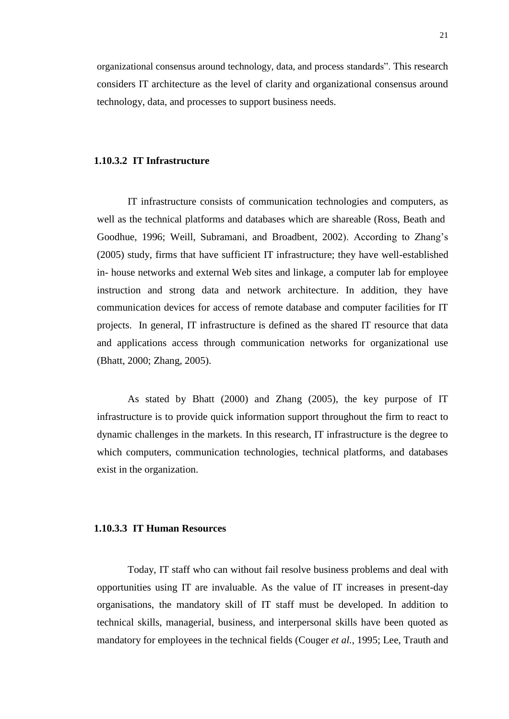organizational consensus around technology, data, and process standards". This research considers IT architecture as the level of clarity and organizational consensus around technology, data, and processes to support business needs.

#### **1.10.3.2 IT Infrastructure**

IT infrastructure consists of communication technologies and computers, as well as the technical platforms and databases which are shareable (Ross, Beath and Goodhue, 1996; Weill, Subramani, and Broadbent, 2002). According to Zhang"s (2005) study, firms that have sufficient IT infrastructure; they have well-established in- house networks and external Web sites and linkage, a computer lab for employee instruction and strong data and network architecture. In addition, they have communication devices for access of remote database and computer facilities for IT projects. In general, IT infrastructure is defined as the shared IT resource that data and applications access through communication networks for organizational use (Bhatt, 2000; Zhang, 2005).

As stated by Bhatt (2000) and Zhang (2005), the key purpose of IT infrastructure is to provide quick information support throughout the firm to react to dynamic challenges in the markets. In this research, IT infrastructure is the degree to which computers, communication technologies, technical platforms, and databases exist in the organization.

# **1.10.3.3 IT Human Resources**

Today, IT staff who can without fail resolve business problems and deal with opportunities using IT are invaluable. As the value of IT increases in present-day organisations, the mandatory skill of IT staff must be developed. In addition to technical skills, managerial, business, and interpersonal skills have been quoted as mandatory for employees in the technical fields (Couger *et al.,* 1995; Lee, Trauth and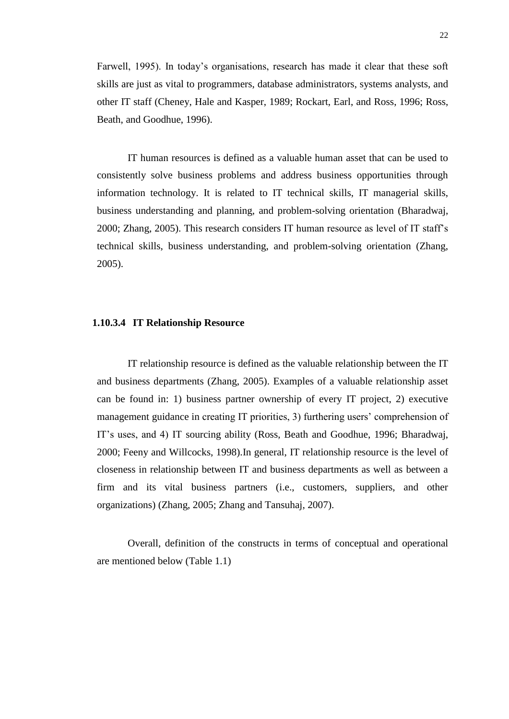Farwell, 1995). In today"s organisations, research has made it clear that these soft skills are just as vital to programmers, database administrators, systems analysts, and other IT staff (Cheney, Hale and Kasper, 1989; Rockart, Earl, and Ross, 1996; Ross, Beath, and Goodhue, 1996).

IT human resources is defined as a valuable human asset that can be used to consistently solve business problems and address business opportunities through information technology. It is related to IT technical skills, IT managerial skills, business understanding and planning, and problem-solving orientation (Bharadwaj, 2000; Zhang, 2005). This research considers IT human resource as level of IT staff"s technical skills, business understanding, and problem-solving orientation (Zhang, 2005).

#### **1.10.3.4 IT Relationship Resource**

IT relationship resource is defined as the valuable relationship between the IT and business departments (Zhang, 2005). Examples of a valuable relationship asset can be found in: 1) business partner ownership of every IT project, 2) executive management guidance in creating IT priorities, 3) furthering users' comprehension of IT"s uses, and 4) IT sourcing ability (Ross, Beath and Goodhue, 1996; Bharadwaj, 2000; Feeny and Willcocks, 1998).In general, IT relationship resource is the level of closeness in relationship between IT and business departments as well as between a firm and its vital business partners (i.e., customers, suppliers, and other organizations) (Zhang, 2005; Zhang and Tansuhaj, 2007).

Overall, definition of the constructs in terms of conceptual and operational are mentioned below (Table 1.1)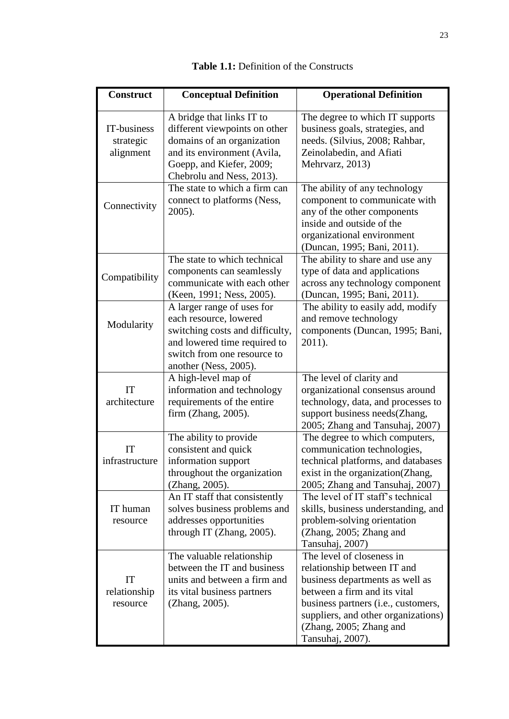| <b>Construct</b>                      | <b>Conceptual Definition</b>                                                                                                                                                     | <b>Operational Definition</b>                                                                                                                                                                                                                            |
|---------------------------------------|----------------------------------------------------------------------------------------------------------------------------------------------------------------------------------|----------------------------------------------------------------------------------------------------------------------------------------------------------------------------------------------------------------------------------------------------------|
| IT-business<br>strategic<br>alignment | A bridge that links IT to<br>different viewpoints on other<br>domains of an organization<br>and its environment (Avila,<br>Goepp, and Kiefer, 2009;<br>Chebrolu and Ness, 2013). | The degree to which IT supports<br>business goals, strategies, and<br>needs. (Silvius, 2008; Rahbar,<br>Zeinolabedin, and Afiati<br>Mehrvarz, 2013)                                                                                                      |
| Connectivity                          | The state to which a firm can<br>connect to platforms (Ness,<br>2005).                                                                                                           | The ability of any technology<br>component to communicate with<br>any of the other components<br>inside and outside of the<br>organizational environment<br>(Duncan, 1995; Bani, 2011).                                                                  |
| Compatibility                         | The state to which technical<br>components can seamlessly<br>communicate with each other<br>(Keen, 1991; Ness, 2005).                                                            | The ability to share and use any<br>type of data and applications<br>across any technology component<br>(Duncan, 1995; Bani, 2011).                                                                                                                      |
| Modularity                            | A larger range of uses for<br>each resource, lowered<br>switching costs and difficulty,<br>and lowered time required to<br>switch from one resource to<br>another (Ness, 2005).  | The ability to easily add, modify<br>and remove technology<br>components (Duncan, 1995; Bani,<br>2011).                                                                                                                                                  |
| <b>IT</b><br>architecture             | A high-level map of<br>information and technology<br>requirements of the entire<br>firm (Zhang, 2005).                                                                           | The level of clarity and<br>organizational consensus around<br>technology, data, and processes to<br>support business needs(Zhang,<br>2005; Zhang and Tansuhaj, 2007)                                                                                    |
| IT<br>infrastructure                  | The ability to provide<br>consistent and quick<br>information support<br>throughout the organization<br>(Zhang, 2005).                                                           | The degree to which computers,<br>communication technologies,<br>technical platforms, and databases<br>exist in the organization (Zhang,<br>2005; Zhang and Tansuhaj, 2007)                                                                              |
| IT human<br>resource                  | An IT staff that consistently<br>solves business problems and<br>addresses opportunities<br>through IT (Zhang, 2005).                                                            | The level of IT staff's technical<br>skills, business understanding, and<br>problem-solving orientation<br>(Zhang, 2005; Zhang and<br>Tansuhaj, 2007)                                                                                                    |
| IT<br>relationship<br>resource        | The valuable relationship<br>between the IT and business<br>units and between a firm and<br>its vital business partners<br>(Zhang, 2005).                                        | The level of closeness in<br>relationship between IT and<br>business departments as well as<br>between a firm and its vital<br>business partners (i.e., customers,<br>suppliers, and other organizations)<br>(Zhang, 2005; Zhang and<br>Tansuhaj, 2007). |

**Table 1.1:** Definition of the Constructs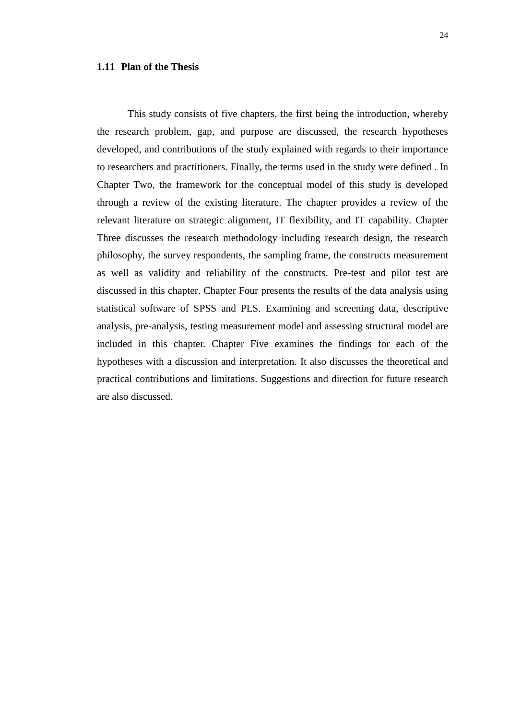### **1.11 Plan of the Thesis**

This study consists of five chapters, the first being the introduction, whereby the research problem, gap, and purpose are discussed, the research hypotheses developed, and contributions of the study explained with regards to their importance to researchers and practitioners. Finally, the terms used in the study were defined . In Chapter Two, the framework for the conceptual model of this study is developed through a review of the existing literature. The chapter provides a review of the relevant literature on strategic alignment, IT flexibility, and IT capability. Chapter Three discusses the research methodology including research design, the research philosophy, the survey respondents, the sampling frame, the constructs measurement as well as validity and reliability of the constructs. Pre-test and pilot test are discussed in this chapter. Chapter Four presents the results of the data analysis using statistical software of SPSS and PLS. Examining and screening data, descriptive analysis, pre-analysis, testing measurement model and assessing structural model are included in this chapter. Chapter Five examines the findings for each of the hypotheses with a discussion and interpretation. It also discusses the theoretical and practical contributions and limitations. Suggestions and direction for future research are also discussed.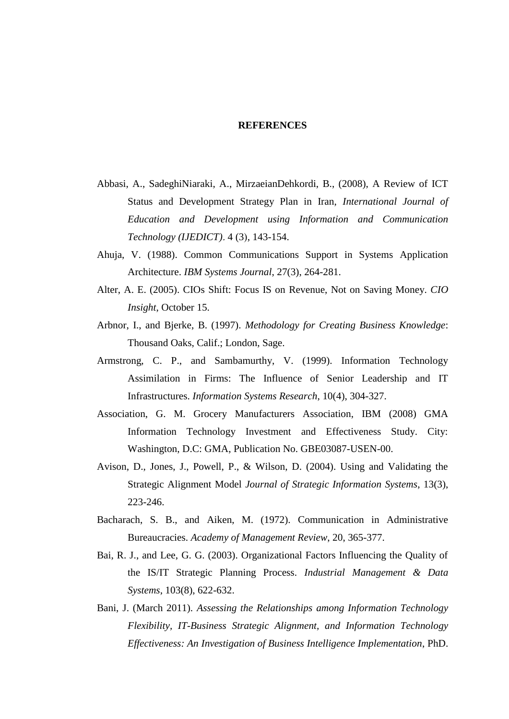#### **REFERENCES**

- Abbasi, A., SadeghiNiaraki, A., MirzaeianDehkordi, B., (2008), A Review of ICT Status and Development Strategy Plan in Iran, *International Journal of Education and Development using Information and Communication Technology (IJEDICT).* 4 (3), 143-154.
- Ahuja, V. (1988). Common Communications Support in Systems Application Architecture. *IBM Systems Journal*, 27(3), 264-281.
- Alter, A. E. (2005). CIOs Shift: Focus IS on Revenue, Not on Saving Money. *CIO Insight*, October 15.
- Arbnor, I., and Bjerke, B. (1997). *Methodology for Creating Business Knowledge*: Thousand Oaks, Calif.; London, Sage.
- Armstrong, C. P., and Sambamurthy, V. (1999). Information Technology Assimilation in Firms: The Influence of Senior Leadership and IT Infrastructures. *Information Systems Research*, 10(4), 304-327.
- Association, G. M. Grocery Manufacturers Association, IBM (2008) GMA Information Technology Investment and Effectiveness Study. City: Washington, D.C: GMA, Publication No. GBE03087-USEN-00.
- Avison, D., Jones, J., Powell, P., & Wilson, D. (2004). Using and Validating the Strategic Alignment Model *Journal of Strategic Information Systems*, 13(3), 223-246.
- Bacharach, S. B., and Aiken, M. (1972). Communication in Administrative Bureaucracies. *Academy of Management Review*, 20, 365-377.
- Bai, R. J., and Lee, G. G. (2003). Organizational Factors Influencing the Quality of the IS/IT Strategic Planning Process. *Industrial Management & Data Systems*, 103(8), 622-632.
- Bani, J. (March 2011). *Assessing the Relationships among Information Technology Flexibility, IT-Business Strategic Alignment, and Information Technology Effectiveness: An Investigation of Business Intelligence Implementation*, PhD.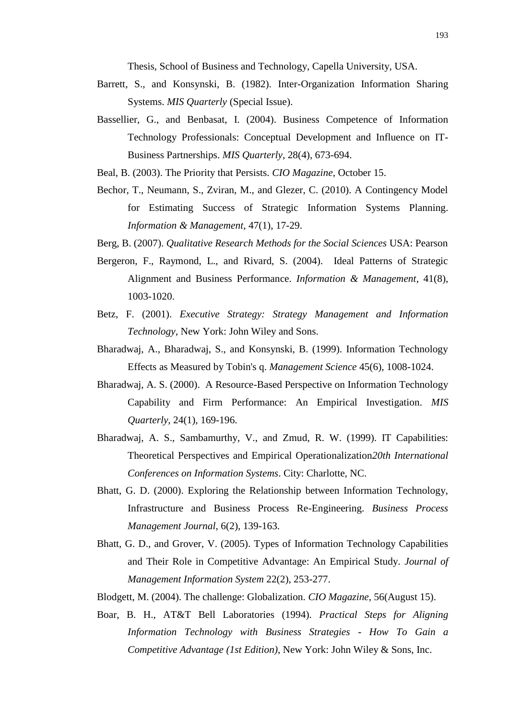Thesis, School of Business and Technology, Capella University, USA.

- Barrett, S., and Konsynski, B. (1982). Inter-Organization Information Sharing Systems. *MIS Quarterly* (Special Issue).
- Bassellier, G., and Benbasat, I. (2004). Business Competence of Information Technology Professionals: Conceptual Development and Influence on IT-Business Partnerships. *MIS Quarterly*, 28(4), 673-694.
- Beal, B. (2003). The Priority that Persists. *CIO Magazine*, October 15.
- Bechor, T., Neumann, S., Zviran, M., and Glezer, C. (2010). A Contingency Model for Estimating Success of Strategic Information Systems Planning. *Information & Management*, 47(1), 17-29.
- Berg, B. (2007). *Qualitative Research Methods for the Social Sciences* USA: Pearson
- Bergeron, F., Raymond, L., and Rivard, S. (2004). Ideal Patterns of Strategic Alignment and Business Performance. *Information & Management*, 41(8), 1003-1020.
- Betz, F. (2001). *Executive Strategy: Strategy Management and Information Technology*, New York: John Wiley and Sons.
- Bharadwaj, A., Bharadwaj, S., and Konsynski, B. (1999). Information Technology Effects as Measured by Tobin's q. *Management Science* 45(6), 1008-1024.
- Bharadwaj, A. S. (2000). A Resource-Based Perspective on Information Technology Capability and Firm Performance: An Empirical Investigation. *MIS Quarterly*, 24(1), 169-196.
- Bharadwaj, A. S., Sambamurthy, V., and Zmud, R. W. (1999). IT Capabilities: Theoretical Perspectives and Empirical Operationalization*20th International Conferences on Information Systems*. City: Charlotte, NC.
- Bhatt, G. D. (2000). Exploring the Relationship between Information Technology, Infrastructure and Business Process Re-Engineering. *Business Process Management Journal*, 6(2), 139-163.
- Bhatt, G. D., and Grover, V. (2005). Types of Information Technology Capabilities and Their Role in Competitive Advantage: An Empirical Study. *Journal of Management Information System* 22(2), 253-277.
- Blodgett, M. (2004). The challenge: Globalization. *CIO Magazine*, 56(August 15).
- Boar, B. H., AT&T Bell Laboratories (1994). *Practical Steps for Aligning Information Technology with Business Strategies - How To Gain a Competitive Advantage (1st Edition)*, New York: John Wiley & Sons, Inc.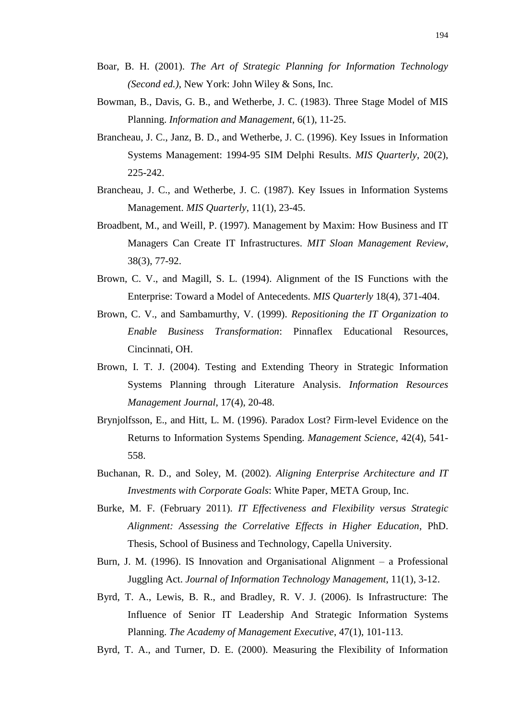- Boar, B. H. (2001). *The Art of Strategic Planning for Information Technology (Second ed.)*, New York: John Wiley & Sons, Inc.
- Bowman, B., Davis, G. B., and Wetherbe, J. C. (1983). Three Stage Model of MIS Planning. *Information and Management*, 6(1), 11-25.
- Brancheau, J. C., Janz, B. D., and Wetherbe, J. C. (1996). Key Issues in Information Systems Management: 1994-95 SIM Delphi Results. *MIS Quarterly*, 20(2), 225-242.
- Brancheau, J. C., and Wetherbe, J. C. (1987). Key Issues in Information Systems Management. *MIS Quarterly*, 11(1), 23-45.
- Broadbent, M., and Weill, P. (1997). Management by Maxim: How Business and IT Managers Can Create IT Infrastructures. *MIT Sloan Management Review*, 38(3), 77-92.
- Brown, C. V., and Magill, S. L. (1994). Alignment of the IS Functions with the Enterprise: Toward a Model of Antecedents. *MIS Quarterly* 18(4), 371-404.
- Brown, C. V., and Sambamurthy, V. (1999). *Repositioning the IT Organization to Enable Business Transformation*: Pinnaflex Educational Resources, Cincinnati, OH.
- Brown, I. T. J. (2004). Testing and Extending Theory in Strategic Information Systems Planning through Literature Analysis. *Information Resources Management Journal*, 17(4), 20-48.
- Brynjolfsson, E., and Hitt, L. M. (1996). Paradox Lost? Firm-level Evidence on the Returns to Information Systems Spending. *Management Science*, 42(4), 541- 558.
- Buchanan, R. D., and Soley, M. (2002). *Aligning Enterprise Architecture and IT Investments with Corporate Goals*: White Paper, META Group, Inc.
- Burke, M. F. (February 2011). *IT Effectiveness and Flexibility versus Strategic Alignment: Assessing the Correlative Effects in Higher Education*, PhD. Thesis, School of Business and Technology, Capella University.
- Burn, J. M. (1996). IS Innovation and Organisational Alignment a Professional Juggling Act. *Journal of Information Technology Management*, 11(1), 3-12.
- Byrd, T. A., Lewis, B. R., and Bradley, R. V. J. (2006). Is Infrastructure: The Influence of Senior IT Leadership And Strategic Information Systems Planning. *The Academy of Management Executive*, 47(1), 101-113.
- Byrd, T. A., and Turner, D. E. (2000). Measuring the Flexibility of Information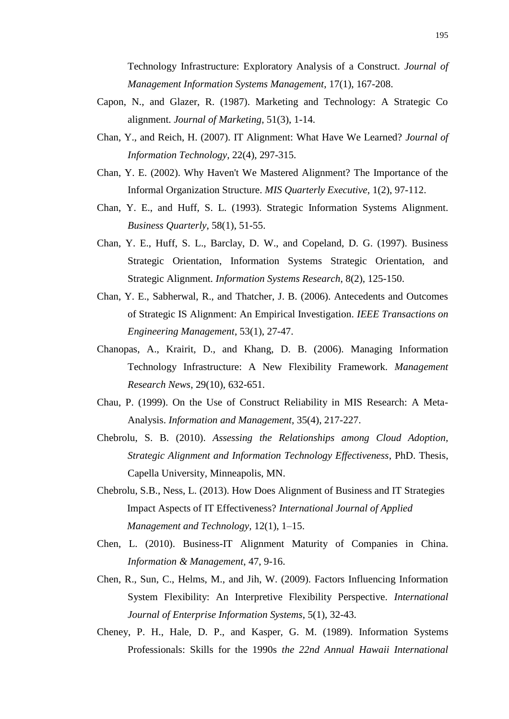Technology Infrastructure: Exploratory Analysis of a Construct. *Journal of Management Information Systems Management*, 17(1), 167-208.

- Capon, N., and Glazer, R. (1987). Marketing and Technology: A Strategic Co alignment. *Journal of Marketing*, 51(3), 1-14.
- Chan, Y., and Reich, H. (2007). IT Alignment: What Have We Learned? *Journal of Information Technology*, 22(4), 297-315.
- Chan, Y. E. (2002). Why Haven't We Mastered Alignment? The Importance of the Informal Organization Structure. *MIS Quarterly Executive*, 1(2), 97-112.
- Chan, Y. E., and Huff, S. L. (1993). Strategic Information Systems Alignment. *Business Quarterly*, 58(1), 51-55.
- Chan, Y. E., Huff, S. L., Barclay, D. W., and Copeland, D. G. (1997). Business Strategic Orientation, Information Systems Strategic Orientation, and Strategic Alignment. *Information Systems Research*, 8(2), 125-150.
- Chan, Y. E., Sabherwal, R., and Thatcher, J. B. (2006). Antecedents and Outcomes of Strategic IS Alignment: An Empirical Investigation. *IEEE Transactions on Engineering Management*, 53(1), 27-47.
- Chanopas, A., Krairit, D., and Khang, D. B. (2006). Managing Information Technology Infrastructure: A New Flexibility Framework. *Management Research News*, 29(10), 632-651.
- Chau, P. (1999). On the Use of Construct Reliability in MIS Research: A Meta-Analysis. *Information and Management*, 35(4), 217-227.
- Chebrolu, S. B. (2010). *Assessing the Relationships among Cloud Adoption, Strategic Alignment and Information Technology Effectiveness*, PhD. Thesis, Capella University, Minneapolis, MN.
- Chebrolu, S.B., Ness, L. (2013). How Does Alignment of Business and IT Strategies Impact Aspects of IT Effectiveness? *International Journal of Applied Management and Technology,* 12(1), 1–15.
- Chen, L. (2010). Business-IT Alignment Maturity of Companies in China. *Information & Management*, 47, 9-16.
- Chen, R., Sun, C., Helms, M., and Jih, W. (2009). Factors Influencing Information System Flexibility: An Interpretive Flexibility Perspective. *International Journal of Enterprise Information Systems*, 5(1), 32-43.
- Cheney, P. H., Hale, D. P., and Kasper, G. M. (1989). Information Systems Professionals: Skills for the 1990s *the 22nd Annual Hawaii International*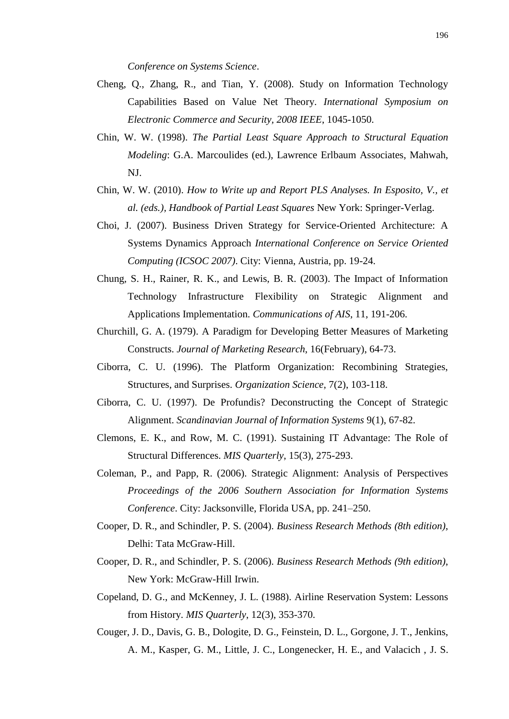*Conference on Systems Science*.

- Cheng, Q., Zhang, R., and Tian, Y. (2008). Study on Information Technology Capabilities Based on Value Net Theory. *International Symposium on Electronic Commerce and Security, 2008 IEEE*, 1045-1050.
- Chin, W. W. (1998). *The Partial Least Square Approach to Structural Equation Modeling*: G.A. Marcoulides (ed.), Lawrence Erlbaum Associates, Mahwah, NJ.
- Chin, W. W. (2010). *How to Write up and Report PLS Analyses. In Esposito, V., et al. (eds.), Handbook of Partial Least Squares* New York: Springer-Verlag.
- Choi, J. (2007). Business Driven Strategy for Service-Oriented Architecture: A Systems Dynamics Approach *International Conference on Service Oriented Computing (ICSOC 2007)*. City: Vienna, Austria, pp. 19-24.
- Chung, S. H., Rainer, R. K., and Lewis, B. R. (2003). The Impact of Information Technology Infrastructure Flexibility on Strategic Alignment and Applications Implementation. *Communications of AIS*, 11, 191-206.
- Churchill, G. A. (1979). A Paradigm for Developing Better Measures of Marketing Constructs. *Journal of Marketing Research*, 16(February), 64-73.
- Ciborra, C. U. (1996). The Platform Organization: Recombining Strategies, Structures, and Surprises. *Organization Science*, 7(2), 103-118.
- Ciborra, C. U. (1997). De Profundis? Deconstructing the Concept of Strategic Alignment. *Scandinavian Journal of Information Systems* 9(1), 67-82.
- Clemons, E. K., and Row, M. C. (1991). Sustaining IT Advantage: The Role of Structural Differences. *MIS Quarterly*, 15(3), 275-293.
- Coleman, P., and Papp, R. (2006). Strategic Alignment: Analysis of Perspectives *Proceedings of the 2006 Southern Association for Information Systems Conference*. City: Jacksonville, Florida USA, pp. 241–250.
- Cooper, D. R., and Schindler, P. S. (2004). *Business Research Methods (8th edition)*, Delhi: Tata McGraw-Hill.
- Cooper, D. R., and Schindler, P. S. (2006). *Business Research Methods (9th edition)*, New York: McGraw-Hill Irwin.
- Copeland, D. G., and McKenney, J. L. (1988). Airline Reservation System: Lessons from History. *MIS Quarterly*, 12(3), 353-370.
- Couger, J. D., Davis, G. B., Dologite, D. G., Feinstein, D. L., Gorgone, J. T., Jenkins, A. M., Kasper, G. M., Little, J. C., Longenecker, H. E., and Valacich , J. S.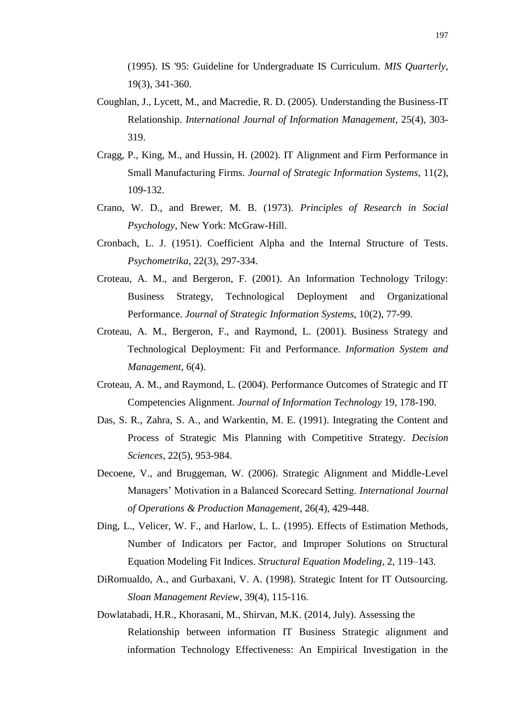(1995). IS '95: Guideline for Undergraduate IS Curriculum. *MIS Quarterly*, 19(3), 341-360.

- Coughlan, J., Lycett, M., and Macredie, R. D. (2005). Understanding the Business-IT Relationship. *International Journal of Information Management*, 25(4), 303- 319.
- Cragg, P., King, M., and Hussin, H. (2002). IT Alignment and Firm Performance in Small Manufacturing Firms. *Journal of Strategic Information Systems*, 11(2), 109-132.
- Crano, W. D., and Brewer, M. B. (1973). *Principles of Research in Social Psychology*, New York: McGraw-Hill.
- Cronbach, L. J. (1951). Coefficient Alpha and the Internal Structure of Tests. *Psychometrika*, 22(3), 297-334.
- Croteau, A. M., and Bergeron, F. (2001). An Information Technology Trilogy: Business Strategy, Technological Deployment and Organizational Performance. *Journal of Strategic Information Systems*, 10(2), 77-99.
- Croteau, A. M., Bergeron, F., and Raymond, L. (2001). Business Strategy and Technological Deployment: Fit and Performance. *Information System and Management*, 6(4).
- Croteau, A. M., and Raymond, L. (2004). Performance Outcomes of Strategic and IT Competencies Alignment. *Journal of Information Technology* 19, 178-190.
- Das, S. R., Zahra, S. A., and Warkentin, M. E. (1991). Integrating the Content and Process of Strategic Mis Planning with Competitive Strategy. *Decision Sciences*, 22(5), 953-984.
- Decoene, V., and Bruggeman, W. (2006). Strategic Alignment and Middle-Level Managers" Motivation in a Balanced Scorecard Setting. *International Journal of Operations & Production Management*, 26(4), 429-448.
- Ding, L., Velicer, W. F., and Harlow, L. L. (1995). Effects of Estimation Methods, Number of Indicators per Factor, and Improper Solutions on Structural Equation Modeling Fit Indices. *Structural Equation Modeling*, 2, 119–143.
- DiRomualdo, A., and Gurbaxani, V. A. (1998). Strategic Intent for IT Outsourcing. *Sloan Management Review*, 39(4), 115-116.
- Dowlatabadi, H.R., Khorasani, M., Shirvan, M.K. (2014, July). Assessing the Relationship between information IT Business Strategic alignment and information Technology Effectiveness: An Empirical Investigation in the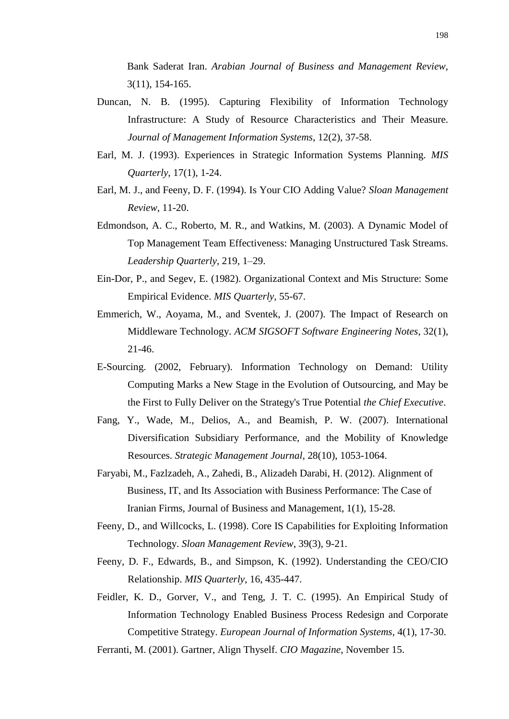Bank Saderat Iran. *Arabian Journal of Business and Management Review,*  3(11), 154-165.

- Duncan, N. B. (1995). Capturing Flexibility of Information Technology Infrastructure: A Study of Resource Characteristics and Their Measure. *Journal of Management Information Systems*, 12(2), 37-58.
- Earl, M. J. (1993). Experiences in Strategic Information Systems Planning. *MIS Quarterly*, 17(1), 1-24.
- Earl, M. J., and Feeny, D. F. (1994). Is Your CIO Adding Value? *Sloan Management Review*, 11-20.
- Edmondson, A. C., Roberto, M. R., and Watkins, M. (2003). A Dynamic Model of Top Management Team Effectiveness: Managing Unstructured Task Streams. *Leadership Quarterly*, 219, 1–29.
- Ein-Dor, P., and Segev, E. (1982). Organizational Context and Mis Structure: Some Empirical Evidence. *MIS Quarterly*, 55-67.
- Emmerich, W., Aoyama, M., and Sventek, J. (2007). The Impact of Research on Middleware Technology. *ACM SIGSOFT Software Engineering Notes*, 32(1), 21-46.
- E-Sourcing. (2002, February). Information Technology on Demand: Utility Computing Marks a New Stage in the Evolution of Outsourcing, and May be the First to Fully Deliver on the Strategy's True Potential *the Chief Executive*.
- Fang, Y., Wade, M., Delios, A., and Beamish, P. W. (2007). International Diversification Subsidiary Performance, and the Mobility of Knowledge Resources. *Strategic Management Journal*, 28(10), 1053-1064.
- Faryabi, M., Fazlzadeh, A., Zahedi, B., Alizadeh Darabi, H. (2012). Alignment of Business, IT, and Its Association with Business Performance: The Case of Iranian Firms, Journal of Business and Management, 1(1), 15-28.
- Feeny, D., and Willcocks, L. (1998). Core IS Capabilities for Exploiting Information Technology. *Sloan Management Review*, 39(3), 9-21.
- Feeny, D. F., Edwards, B., and Simpson, K. (1992). Understanding the CEO/CIO Relationship. *MIS Quarterly*, 16, 435-447.
- Feidler, K. D., Gorver, V., and Teng, J. T. C. (1995). An Empirical Study of Information Technology Enabled Business Process Redesign and Corporate Competitive Strategy. *European Journal of Information Systems*, 4(1), 17-30.

Ferranti, M. (2001). Gartner, Align Thyself. *CIO Magazine*, November 15.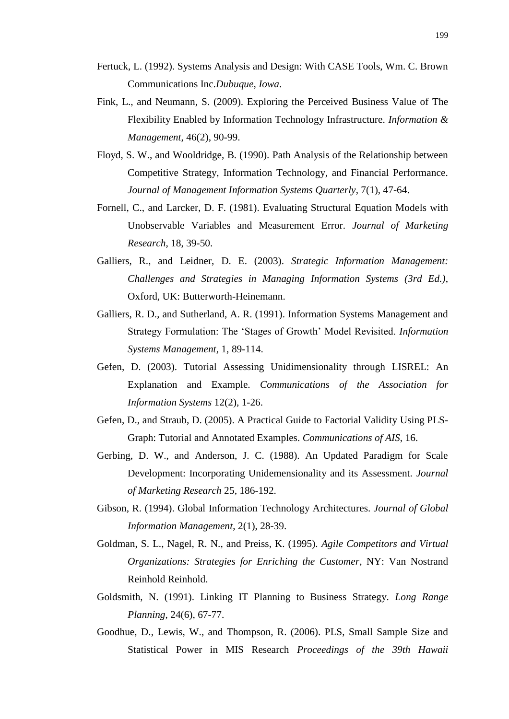- Fertuck, L. (1992). Systems Analysis and Design: With CASE Tools, Wm. C. Brown Communications Inc.*Dubuque, Iowa*.
- Fink, L., and Neumann, S. (2009). Exploring the Perceived Business Value of The Flexibility Enabled by Information Technology Infrastructure. *Information & Management*, 46(2), 90-99.
- Floyd, S. W., and Wooldridge, B. (1990). Path Analysis of the Relationship between Competitive Strategy, Information Technology, and Financial Performance. *Journal of Management Information Systems Quarterly*, 7(1), 47-64.
- Fornell, C., and Larcker, D. F. (1981). Evaluating Structural Equation Models with Unobservable Variables and Measurement Error. *Journal of Marketing Research*, 18, 39-50.
- Galliers, R., and Leidner, D. E. (2003). *Strategic Information Management: Challenges and Strategies in Managing Information Systems (3rd Ed.)*, Oxford, UK: Butterworth-Heinemann.
- Galliers, R. D., and Sutherland, A. R. (1991). Information Systems Management and Strategy Formulation: The "Stages of Growth" Model Revisited. *Information Systems Management*, 1, 89-114.
- Gefen, D. (2003). Tutorial Assessing Unidimensionality through LISREL: An Explanation and Example. *Communications of the Association for Information Systems* 12(2), 1-26.
- Gefen, D., and Straub, D. (2005). A Practical Guide to Factorial Validity Using PLS-Graph: Tutorial and Annotated Examples. *Communications of AIS*, 16.
- Gerbing, D. W., and Anderson, J. C. (1988). An Updated Paradigm for Scale Development: Incorporating Unidemensionality and its Assessment. *Journal of Marketing Research* 25, 186-192.
- Gibson, R. (1994). Global Information Technology Architectures. *Journal of Global Information Management*, 2(1), 28-39.
- Goldman, S. L., Nagel, R. N., and Preiss, K. (1995). *Agile Competitors and Virtual Organizations: Strategies for Enriching the Customer*, NY: Van Nostrand Reinhold Reinhold.
- Goldsmith, N. (1991). Linking IT Planning to Business Strategy. *Long Range Planning*, 24(6), 67-77.
- Goodhue, D., Lewis, W., and Thompson, R. (2006). PLS, Small Sample Size and Statistical Power in MIS Research *Proceedings of the 39th Hawaii*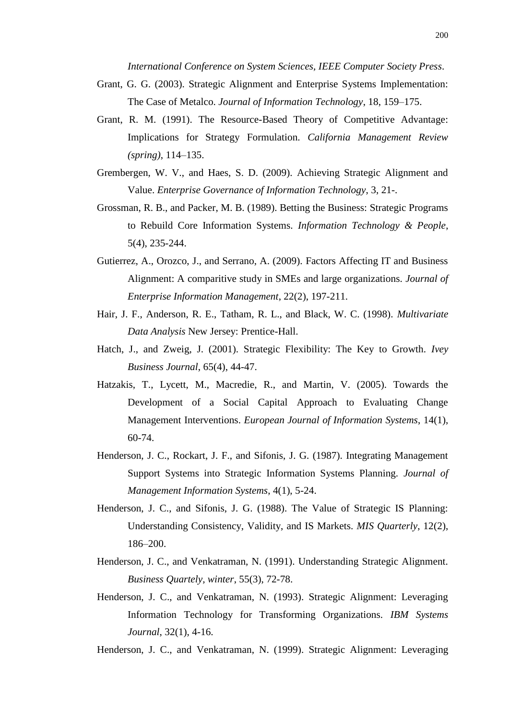*International Conference on System Sciences, IEEE Computer Society Press*.

- Grant, G. G. (2003). Strategic Alignment and Enterprise Systems Implementation: The Case of Metalco. *Journal of Information Technology*, 18, 159–175.
- Grant, R. M. (1991). The Resource-Based Theory of Competitive Advantage: Implications for Strategy Formulation. *California Management Review (spring)*, 114–135.
- Grembergen, W. V., and Haes, S. D. (2009). Achieving Strategic Alignment and Value. *Enterprise Governance of Information Technology*, 3, 21-.
- Grossman, R. B., and Packer, M. B. (1989). Betting the Business: Strategic Programs to Rebuild Core Information Systems. *Information Technology & People*, 5(4), 235-244.
- Gutierrez, A., Orozco, J., and Serrano, A. (2009). Factors Affecting IT and Business Alignment: A comparitive study in SMEs and large organizations. *Journal of Enterprise Information Management*, 22(2), 197-211.
- Hair, J. F., Anderson, R. E., Tatham, R. L., and Black, W. C. (1998). *Multivariate Data Analysis* New Jersey: Prentice-Hall.
- Hatch, J., and Zweig, J. (2001). Strategic Flexibility: The Key to Growth. *Ivey Business Journal*, 65(4), 44-47.
- Hatzakis, T., Lycett, M., Macredie, R., and Martin, V. (2005). Towards the Development of a Social Capital Approach to Evaluating Change Management Interventions. *European Journal of Information Systems*, 14(1), 60-74.
- Henderson, J. C., Rockart, J. F., and Sifonis, J. G. (1987). Integrating Management Support Systems into Strategic Information Systems Planning. *Journal of Management Information Systems*, 4(1), 5-24.
- Henderson, J. C., and Sifonis, J. G. (1988). The Value of Strategic IS Planning: Understanding Consistency, Validity, and IS Markets. *MIS Quarterly*, 12(2), 186–200.
- Henderson, J. C., and Venkatraman, N. (1991). Understanding Strategic Alignment. *Business Quartely, winter*, 55(3), 72-78.
- Henderson, J. C., and Venkatraman, N. (1993). Strategic Alignment: Leveraging Information Technology for Transforming Organizations. *IBM Systems Journal*, 32(1), 4-16.

Henderson, J. C., and Venkatraman, N. (1999). Strategic Alignment: Leveraging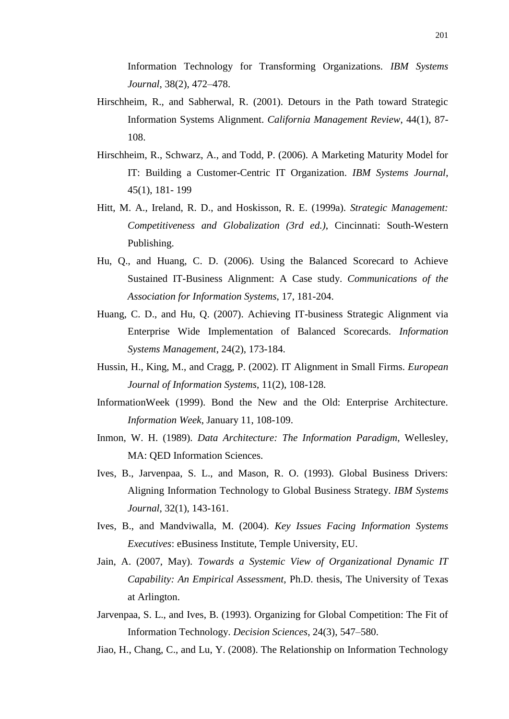Information Technology for Transforming Organizations. *IBM Systems Journal*, 38(2), 472–478.

- Hirschheim, R., and Sabherwal, R. (2001). Detours in the Path toward Strategic Information Systems Alignment. *California Management Review*, 44(1), 87- 108.
- Hirschheim, R., Schwarz, A., and Todd, P. (2006). A Marketing Maturity Model for IT: Building a Customer-Centric IT Organization. *IBM Systems Journal*, 45(1), 181- 199
- Hitt, M. A., Ireland, R. D., and Hoskisson, R. E. (1999a). *Strategic Management: Competitiveness and Globalization (3rd ed.)*, Cincinnati: South-Western Publishing.
- Hu, Q., and Huang, C. D. (2006). Using the Balanced Scorecard to Achieve Sustained IT-Business Alignment: A Case study. *Communications of the Association for Information Systems*, 17, 181-204.
- Huang, C. D., and Hu, Q. (2007). Achieving IT-business Strategic Alignment via Enterprise Wide Implementation of Balanced Scorecards. *Information Systems Management*, 24(2), 173-184.
- Hussin, H., King, M., and Cragg, P. (2002). IT Alignment in Small Firms. *European Journal of Information Systems*, 11(2), 108-128.
- InformationWeek (1999). Bond the New and the Old: Enterprise Architecture. *Information Week*, January 11, 108-109.
- Inmon, W. H. (1989). *Data Architecture: The Information Paradigm*, Wellesley, MA: QED Information Sciences.
- Ives, B., Jarvenpaa, S. L., and Mason, R. O. (1993). Global Business Drivers: Aligning Information Technology to Global Business Strategy. *IBM Systems Journal*, 32(1), 143-161.
- Ives, B., and Mandviwalla, M. (2004). *Key Issues Facing Information Systems Executives*: eBusiness Institute, Temple University, EU.
- Jain, A. (2007, May). *Towards a Systemic View of Organizational Dynamic IT Capability: An Empirical Assessment*, Ph.D. thesis, The University of Texas at Arlington.
- Jarvenpaa, S. L., and Ives, B. (1993). Organizing for Global Competition: The Fit of Information Technology. *Decision Sciences*, 24(3), 547–580.

Jiao, H., Chang, C., and Lu, Y. (2008). The Relationship on Information Technology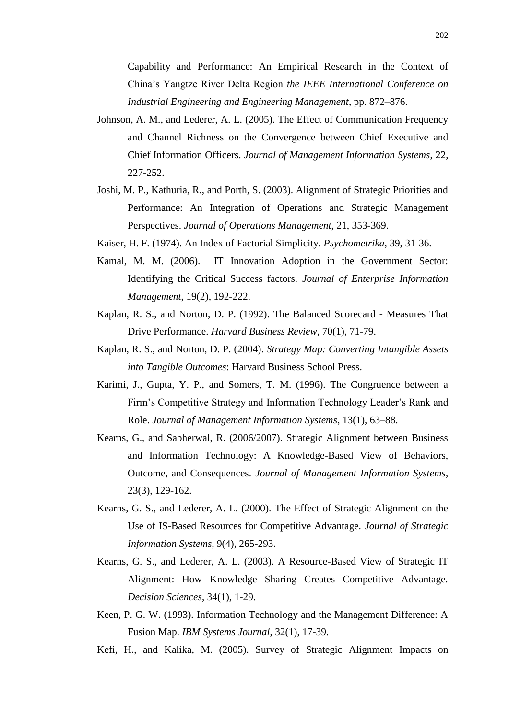Capability and Performance: An Empirical Research in the Context of China"s Yangtze River Delta Region *the IEEE International Conference on Industrial Engineering and Engineering Management*, pp. 872–876.

- Johnson, A. M., and Lederer, A. L. (2005). The Effect of Communication Frequency and Channel Richness on the Convergence between Chief Executive and Chief Information Officers. *Journal of Management Information Systems*, 22, 227-252.
- Joshi, M. P., Kathuria, R., and Porth, S. (2003). Alignment of Strategic Priorities and Performance: An Integration of Operations and Strategic Management Perspectives. *Journal of Operations Management*, 21, 353-369.
- Kaiser, H. F. (1974). An Index of Factorial Simplicity. *Psychometrika*, 39, 31-36.
- Kamal, M. M. (2006). IT Innovation Adoption in the Government Sector: Identifying the Critical Success factors. *Journal of Enterprise Information Management*, 19(2), 192-222.
- Kaplan, R. S., and Norton, D. P. (1992). The Balanced Scorecard Measures That Drive Performance. *Harvard Business Review*, 70(1), 71-79.
- Kaplan, R. S., and Norton, D. P. (2004). *Strategy Map: Converting Intangible Assets into Tangible Outcomes*: Harvard Business School Press.
- Karimi, J., Gupta, Y. P., and Somers, T. M. (1996). The Congruence between a Firm"s Competitive Strategy and Information Technology Leader"s Rank and Role. *Journal of Management Information Systems*, 13(1), 63–88.
- Kearns, G., and Sabherwal, R. (2006/2007). Strategic Alignment between Business and Information Technology: A Knowledge-Based View of Behaviors, Outcome, and Consequences. *Journal of Management Information Systems*, 23(3), 129-162.
- Kearns, G. S., and Lederer, A. L. (2000). The Effect of Strategic Alignment on the Use of IS-Based Resources for Competitive Advantage. *Journal of Strategic Information Systems*, 9(4), 265-293.
- Kearns, G. S., and Lederer, A. L. (2003). A Resource-Based View of Strategic IT Alignment: How Knowledge Sharing Creates Competitive Advantage. *Decision Sciences*, 34(1), 1-29.
- Keen, P. G. W. (1993). Information Technology and the Management Difference: A Fusion Map. *IBM Systems Journal*, 32(1), 17-39.
- Kefi, H., and Kalika, M. (2005). Survey of Strategic Alignment Impacts on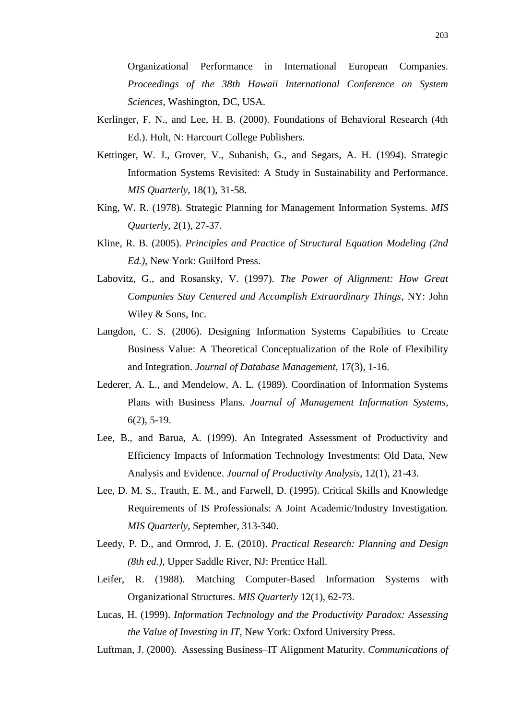Organizational Performance in International European Companies. *Proceedings of the 38th Hawaii International Conference on System Sciences*, Washington, DC, USA.

- Kerlinger, F. N., and Lee, H. B. (2000). Foundations of Behavioral Research (4th Ed.). Holt, N: Harcourt College Publishers.
- Kettinger, W. J., Grover, V., Subanish, G., and Segars, A. H. (1994). Strategic Information Systems Revisited: A Study in Sustainability and Performance. *MIS Quarterly*, 18(1), 31-58.
- King, W. R. (1978). Strategic Planning for Management Information Systems. *MIS Quarterly*, 2(1), 27-37.
- Kline, R. B. (2005). *Principles and Practice of Structural Equation Modeling (2nd Ed.)*, New York: Guilford Press.
- Labovitz, G., and Rosansky, V. (1997). *The Power of Alignment: How Great Companies Stay Centered and Accomplish Extraordinary Things*, NY: John Wiley & Sons, Inc.
- Langdon, C. S. (2006). Designing Information Systems Capabilities to Create Business Value: A Theoretical Conceptualization of the Role of Flexibility and Integration. *Journal of Database Management*, 17(3), 1-16.
- Lederer, A. L., and Mendelow, A. L. (1989). Coordination of Information Systems Plans with Business Plans. *Journal of Management Information Systems*, 6(2), 5-19.
- Lee, B., and Barua, A. (1999). An Integrated Assessment of Productivity and Efficiency Impacts of Information Technology Investments: Old Data, New Analysis and Evidence. *Journal of Productivity Analysis*, 12(1), 21-43.
- Lee, D. M. S., Trauth, E. M., and Farwell, D. (1995). Critical Skills and Knowledge Requirements of IS Professionals: A Joint Academic/Industry Investigation. *MIS Quarterly*, September, 313-340.
- Leedy, P. D., and Ormrod, J. E. (2010). *Practical Research: Planning and Design (8th ed.)*, Upper Saddle River, NJ: Prentice Hall.
- Leifer, R. (1988). Matching Computer-Based Information Systems with Organizational Structures. *MIS Quarterly* 12(1), 62-73.
- Lucas, H. (1999). *Information Technology and the Productivity Paradox: Assessing the Value of Investing in IT*, New York: Oxford University Press.
- Luftman, J. (2000). Assessing Business–IT Alignment Maturity. *Communications of*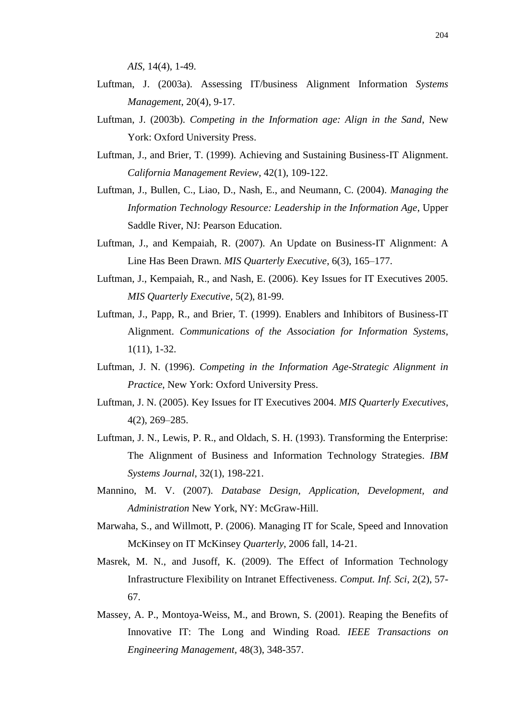*AIS*, 14(4), 1-49.

- Luftman, J. (2003a). Assessing IT/business Alignment Information *Systems Management*, 20(4), 9-17.
- Luftman, J. (2003b). *Competing in the Information age: Align in the Sand*, New York: Oxford University Press.
- Luftman, J., and Brier, T. (1999). Achieving and Sustaining Business-IT Alignment. *California Management Review*, 42(1), 109-122.
- Luftman, J., Bullen, C., Liao, D., Nash, E., and Neumann, C. (2004). *Managing the Information Technology Resource: Leadership in the Information Age*, Upper Saddle River, NJ: Pearson Education.
- Luftman, J., and Kempaiah, R. (2007). An Update on Business-IT Alignment: A Line Has Been Drawn. *MIS Quarterly Executive*, 6(3), 165–177.
- Luftman, J., Kempaiah, R., and Nash, E. (2006). Key Issues for IT Executives 2005. *MIS Quarterly Executive*, 5(2), 81-99.
- Luftman, J., Papp, R., and Brier, T. (1999). Enablers and Inhibitors of Business-IT Alignment. *Communications of the Association for Information Systems*, 1(11), 1-32.
- Luftman, J. N. (1996). *Competing in the Information Age-Strategic Alignment in Practice*, New York: Oxford University Press.
- Luftman, J. N. (2005). Key Issues for IT Executives 2004. *MIS Quarterly Executives*, 4(2), 269–285.
- Luftman, J. N., Lewis, P. R., and Oldach, S. H. (1993). Transforming the Enterprise: The Alignment of Business and Information Technology Strategies. *IBM Systems Journal*, 32(1), 198-221.
- Mannino, M. V. (2007). *Database Design, Application, Development, and Administration* New York, NY: McGraw-Hill.
- Marwaha, S., and Willmott, P. (2006). Managing IT for Scale, Speed and Innovation McKinsey on IT McKinsey *Quarterly*, 2006 fall, 14-21.
- Masrek, M. N., and Jusoff, K. (2009). The Effect of Information Technology Infrastructure Flexibility on Intranet Effectiveness. *Comput. Inf. Sci*, 2(2), 57- 67.
- Massey, A. P., Montoya-Weiss, M., and Brown, S. (2001). Reaping the Benefits of Innovative IT: The Long and Winding Road. *IEEE Transactions on Engineering Management,* 48(3), 348-357.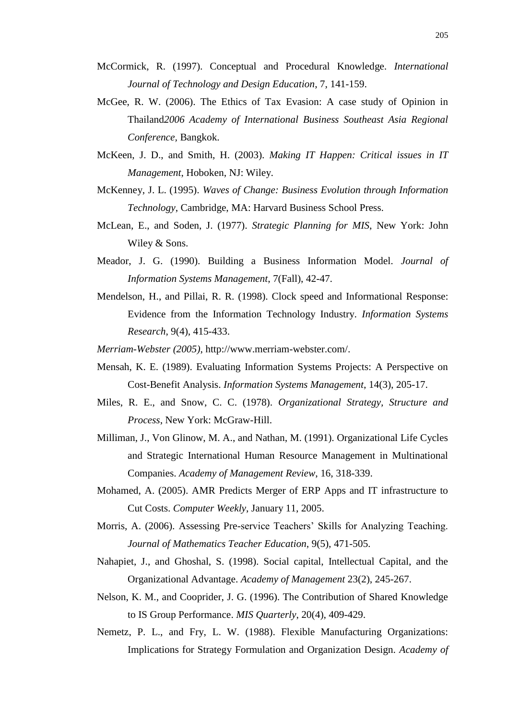- McCormick, R. (1997). Conceptual and Procedural Knowledge. *International Journal of Technology and Design Education*, 7, 141-159.
- McGee, R. W. (2006). The Ethics of Tax Evasion: A case study of Opinion in Thailand*2006 Academy of International Business Southeast Asia Regional Conference,* Bangkok.
- McKeen, J. D., and Smith, H. (2003). *Making IT Happen: Critical issues in IT Management*, Hoboken, NJ: Wiley.
- McKenney, J. L. (1995). *Waves of Change: Business Evolution through Information Technology*, Cambridge, MA: Harvard Business School Press.
- McLean, E., and Soden, J. (1977). *Strategic Planning for MIS*, New York: John Wiley & Sons.
- Meador, J. G. (1990). Building a Business Information Model. *Journal of Information Systems Management*, 7(Fall), 42-47.
- Mendelson, H., and Pillai, R. R. (1998). Clock speed and Informational Response: Evidence from the Information Technology Industry. *Information Systems Research*, 9(4), 415-433.
- *Merriam-Webster (2005)*, http://www.merriam-webster.com/.
- Mensah, K. E. (1989). Evaluating Information Systems Projects: A Perspective on Cost-Benefit Analysis. *Information Systems Management*, 14(3), 205-17.
- Miles, R. E., and Snow, C. C. (1978). *Organizational Strategy, Structure and Process*, New York: McGraw-Hill.
- Milliman, J., Von Glinow, M. A., and Nathan, M. (1991). Organizational Life Cycles and Strategic International Human Resource Management in Multinational Companies. *Academy of Management Review*, 16, 318-339.
- Mohamed, A. (2005). AMR Predicts Merger of ERP Apps and IT infrastructure to Cut Costs. *Computer Weekly*, January 11, 2005.
- Morris, A. (2006). Assessing Pre-service Teachers' Skills for Analyzing Teaching. *Journal of Mathematics Teacher Education*, 9(5), 471-505.
- Nahapiet, J., and Ghoshal, S. (1998). Social capital, Intellectual Capital, and the Organizational Advantage. *Academy of Management* 23(2), 245-267.
- Nelson, K. M., and Cooprider, J. G. (1996). The Contribution of Shared Knowledge to IS Group Performance. *MIS Quarterly*, 20(4), 409-429.
- Nemetz, P. L., and Fry, L. W. (1988). Flexible Manufacturing Organizations: Implications for Strategy Formulation and Organization Design. *Academy of*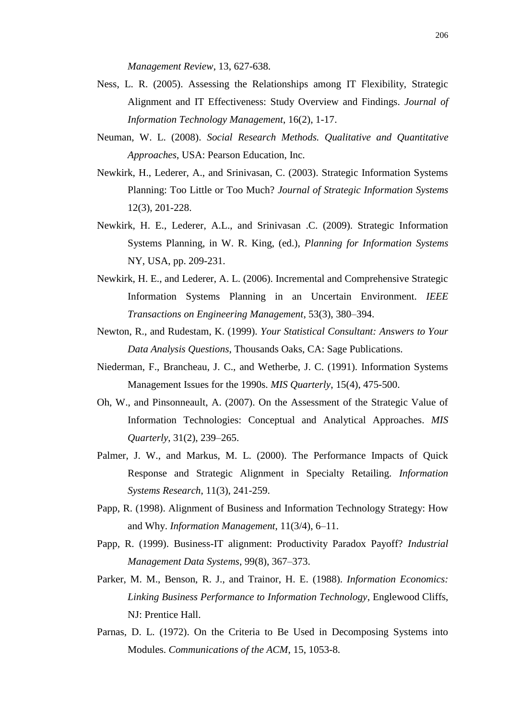*Management Review*, 13, 627-638.

- Ness, L. R. (2005). Assessing the Relationships among IT Flexibility, Strategic Alignment and IT Effectiveness: Study Overview and Findings. *Journal of Information Technology Management*, 16(2), 1-17.
- Neuman, W. L. (2008). *Social Research Methods. Qualitative and Quantitative Approaches*, USA: Pearson Education, Inc.
- Newkirk, H., Lederer, A., and Srinivasan, C. (2003). Strategic Information Systems Planning: Too Little or Too Much? *Journal of Strategic Information Systems*  12(3), 201-228.
- Newkirk, H. E., Lederer, A.L., and Srinivasan .C. (2009). Strategic Information Systems Planning, in W. R. King, (ed.), *Planning for Information Systems*  NY, USA, pp. 209-231.
- Newkirk, H. E., and Lederer, A. L. (2006). Incremental and Comprehensive Strategic Information Systems Planning in an Uncertain Environment. *IEEE Transactions on Engineering Management*, 53(3), 380–394.
- Newton, R., and Rudestam, K. (1999). *Your Statistical Consultant: Answers to Your Data Analysis Questions*, Thousands Oaks, CA: Sage Publications.
- Niederman, F., Brancheau, J. C., and Wetherbe, J. C. (1991). Information Systems Management Issues for the 1990s. *MIS Quarterly*, 15(4), 475-500.
- Oh, W., and Pinsonneault, A. (2007). On the Assessment of the Strategic Value of Information Technologies: Conceptual and Analytical Approaches. *MIS Quarterly*, 31(2), 239–265.
- Palmer, J. W., and Markus, M. L. (2000). The Performance Impacts of Quick Response and Strategic Alignment in Specialty Retailing. *Information Systems Research*, 11(3), 241-259.
- Papp, R. (1998). Alignment of Business and Information Technology Strategy: How and Why. *Information Management*, 11(3/4), 6–11.
- Papp, R. (1999). Business-IT alignment: Productivity Paradox Payoff? *Industrial Management Data Systems*, 99(8), 367–373.
- Parker, M. M., Benson, R. J., and Trainor, H. E. (1988). *Information Economics: Linking Business Performance to Information Technology*, Englewood Cliffs, NJ: Prentice Hall.
- Parnas, D. L. (1972). On the Criteria to Be Used in Decomposing Systems into Modules. *Communications of the ACM*, 15, 1053-8.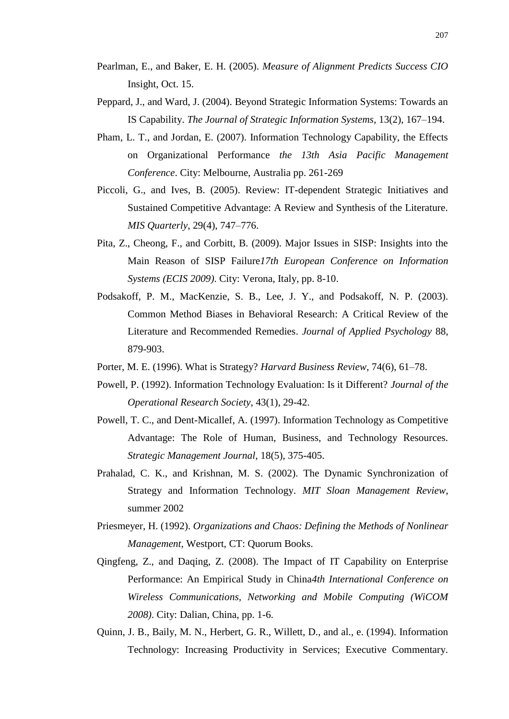- Pearlman, E., and Baker, E. H. (2005). *Measure of Alignment Predicts Success CIO* Insight, Oct. 15.
- Peppard, J., and Ward, J. (2004). Beyond Strategic Information Systems: Towards an IS Capability. *The Journal of Strategic Information Systems*, 13(2), 167–194.
- Pham, L. T., and Jordan, E. (2007). Information Technology Capability, the Effects on Organizational Performance *the 13th Asia Pacific Management Conference*. City: Melbourne, Australia pp. 261-269
- Piccoli, G., and Ives, B. (2005). Review: IT-dependent Strategic Initiatives and Sustained Competitive Advantage: A Review and Synthesis of the Literature. *MIS Quarterly*, 29(4), 747–776.
- Pita, Z., Cheong, F., and Corbitt, B. (2009). Major Issues in SISP: Insights into the Main Reason of SISP Failure*17th European Conference on Information Systems (ECIS 2009)*. City: Verona, Italy, pp. 8-10.
- Podsakoff, P. M., MacKenzie, S. B., Lee, J. Y., and Podsakoff, N. P. (2003). Common Method Biases in Behavioral Research: A Critical Review of the Literature and Recommended Remedies. *Journal of Applied Psychology* 88, 879-903.
- Porter, M. E. (1996). What is Strategy? *Harvard Business Review*, 74(6), 61–78.
- Powell, P. (1992). Information Technology Evaluation: Is it Different? *Journal of the Operational Research Society*, 43(1), 29-42.
- Powell, T. C., and Dent-Micallef, A. (1997). Information Technology as Competitive Advantage: The Role of Human, Business, and Technology Resources. *Strategic Management Journal*, 18(5), 375-405.
- Prahalad, C. K., and Krishnan, M. S. (2002). The Dynamic Synchronization of Strategy and Information Technology. *MIT Sloan Management Review*, summer 2002
- Priesmeyer, H. (1992). *Organizations and Chaos: Defining the Methods of Nonlinear Management*, Westport, CT: Quorum Books.
- Qingfeng, Z., and Daqing, Z. (2008). The Impact of IT Capability on Enterprise Performance: An Empirical Study in China*4th International Conference on Wireless Communications, Networking and Mobile Computing (WiCOM 2008)*. City: Dalian, China, pp. 1-6.
- Quinn, J. B., Baily, M. N., Herbert, G. R., Willett, D., and al., e. (1994). Information Technology: Increasing Productivity in Services; Executive Commentary.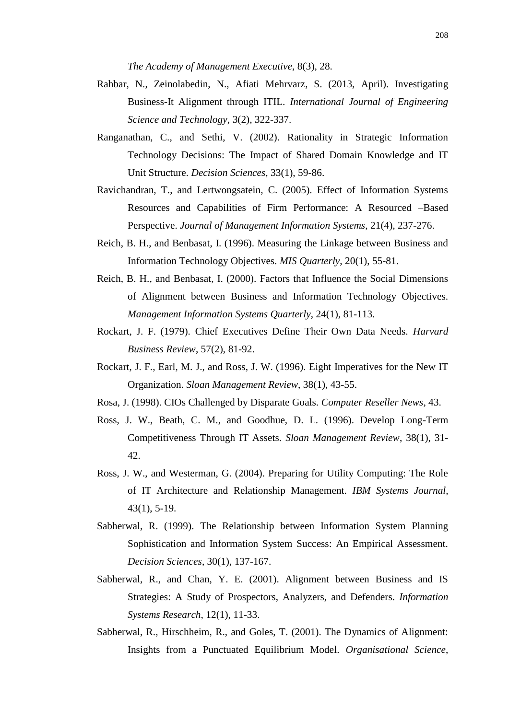*The Academy of Management Executive*, 8(3), 28.

- Rahbar, N., Zeinolabedin, N., Afiati Mehrvarz, S. (2013, April). Investigating Business-It Alignment through ITIL. *International Journal of Engineering Science and Technology,* 3(2), 322-337.
- Ranganathan, C., and Sethi, V. (2002). Rationality in Strategic Information Technology Decisions: The Impact of Shared Domain Knowledge and IT Unit Structure. *Decision Sciences*, 33(1), 59-86.
- Ravichandran, T., and Lertwongsatein, C. (2005). Effect of Information Systems Resources and Capabilities of Firm Performance: A Resourced –Based Perspective. *Journal of Management Information Systems*, 21(4), 237-276.
- Reich, B. H., and Benbasat, I. (1996). Measuring the Linkage between Business and Information Technology Objectives. *MIS Quarterly*, 20(1), 55-81.
- Reich, B. H., and Benbasat, I. (2000). Factors that Influence the Social Dimensions of Alignment between Business and Information Technology Objectives. *Management Information Systems Quarterly*, 24(1), 81-113.
- Rockart, J. F. (1979). Chief Executives Define Their Own Data Needs. *Harvard Business Review*, 57(2), 81-92.
- Rockart, J. F., Earl, M. J., and Ross, J. W. (1996). Eight Imperatives for the New IT Organization. *Sloan Management Review*, 38(1), 43-55.
- Rosa, J. (1998). CIOs Challenged by Disparate Goals. *Computer Reseller News*, 43.
- Ross, J. W., Beath, C. M., and Goodhue, D. L. (1996). Develop Long-Term Competitiveness Through IT Assets. *Sloan Management Review*, 38(1), 31- 42.
- Ross, J. W., and Westerman, G. (2004). Preparing for Utility Computing: The Role of IT Architecture and Relationship Management. *IBM Systems Journal*, 43(1), 5-19.
- Sabherwal, R. (1999). The Relationship between Information System Planning Sophistication and Information System Success: An Empirical Assessment. *Decision Sciences*, 30(1), 137-167.
- Sabherwal, R., and Chan, Y. E. (2001). Alignment between Business and IS Strategies: A Study of Prospectors, Analyzers, and Defenders. *Information Systems Research*, 12(1), 11-33.
- Sabherwal, R., Hirschheim, R., and Goles, T. (2001). The Dynamics of Alignment: Insights from a Punctuated Equilibrium Model. *Organisational Science*,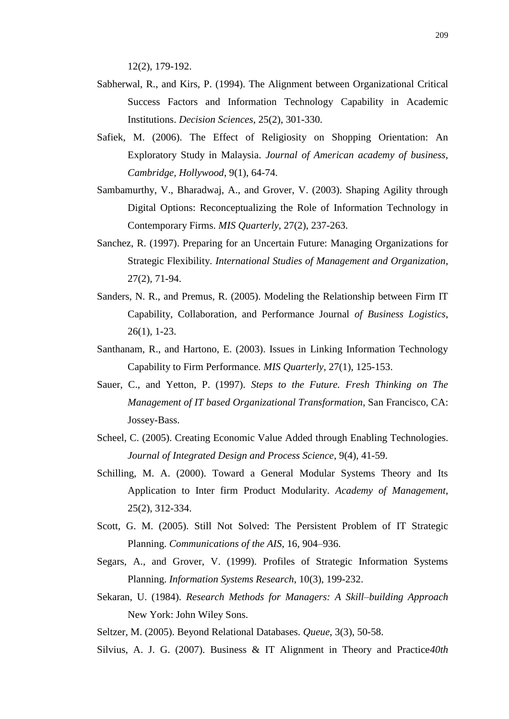12(2), 179-192.

- Sabherwal, R., and Kirs, P. (1994). The Alignment between Organizational Critical Success Factors and Information Technology Capability in Academic Institutions. *Decision Sciences*, 25(2), 301-330.
- Safiek, M. (2006). The Effect of Religiosity on Shopping Orientation: An Exploratory Study in Malaysia. *Journal of American academy of business, Cambridge, Hollywood*, 9(1), 64-74.
- Sambamurthy, V., Bharadwaj, A., and Grover, V. (2003). Shaping Agility through Digital Options: Reconceptualizing the Role of Information Technology in Contemporary Firms. *MIS Quarterly*, 27(2), 237-263.
- Sanchez, R. (1997). Preparing for an Uncertain Future: Managing Organizations for Strategic Flexibility. *International Studies of Management and Organization*, 27(2), 71-94.
- Sanders, N. R., and Premus, R. (2005). Modeling the Relationship between Firm IT Capability, Collaboration, and Performance Journal *of Business Logistics*, 26(1), 1-23.
- Santhanam, R., and Hartono, E. (2003). Issues in Linking Information Technology Capability to Firm Performance. *MIS Quarterly*, 27(1), 125-153.
- Sauer, C., and Yetton, P. (1997). *Steps to the Future. Fresh Thinking on The Management of IT based Organizational Transformation*, San Francisco, CA: Jossey-Bass.
- Scheel, C. (2005). Creating Economic Value Added through Enabling Technologies. *Journal of Integrated Design and Process Science*, 9(4), 41-59.
- Schilling, M. A. (2000). Toward a General Modular Systems Theory and Its Application to Inter firm Product Modularity. *Academy of Management*, 25(2), 312-334.
- Scott, G. M. (2005). Still Not Solved: The Persistent Problem of IT Strategic Planning. *Communications of the AIS*, 16, 904–936.
- Segars, A., and Grover, V. (1999). Profiles of Strategic Information Systems Planning. *Information Systems Research*, 10(3), 199-232.
- Sekaran, U. (1984). *Research Methods for Managers: A Skill–building Approach*  New York: John Wiley Sons.
- Seltzer, M. (2005). Beyond Relational Databases. *Queue*, 3(3), 50-58.
- Silvius, A. J. G. (2007). Business & IT Alignment in Theory and Practice*40th*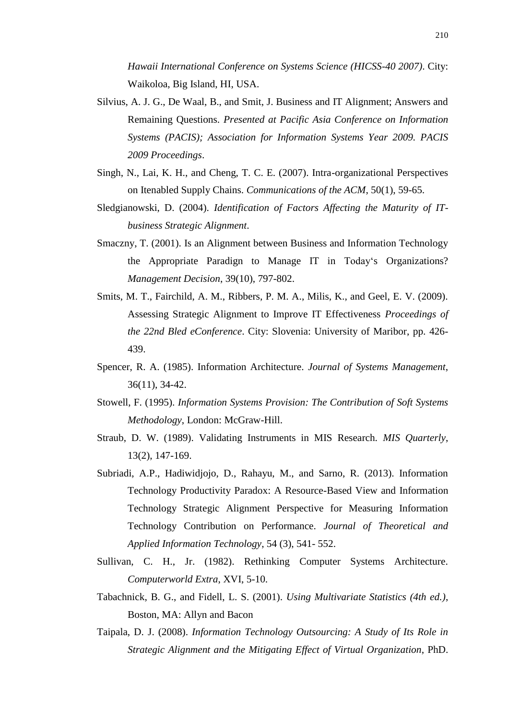*Hawaii International Conference on Systems Science (HICSS-40 2007)*. City: Waikoloa, Big Island, HI, USA.

- Silvius, A. J. G., De Waal, B., and Smit, J. Business and IT Alignment; Answers and Remaining Questions. *Presented at Pacific Asia Conference on Information Systems (PACIS); Association for Information Systems Year 2009. PACIS 2009 Proceedings*.
- Singh, N., Lai, K. H., and Cheng, T. C. E. (2007). Intra-organizational Perspectives on Itenabled Supply Chains. *Communications of the ACM*, 50(1), 59-65.
- Sledgianowski, D. (2004). *Identification of Factors Affecting the Maturity of ITbusiness Strategic Alignment*.
- Smaczny, T. (2001). Is an Alignment between Business and Information Technology the Appropriate Paradign to Manage IT in Today"s Organizations? *Management Decision*, 39(10), 797-802.
- Smits, M. T., Fairchild, A. M., Ribbers, P. M. A., Milis, K., and Geel, E. V. (2009). Assessing Strategic Alignment to Improve IT Effectiveness *Proceedings of the 22nd Bled eConference*. City: Slovenia: University of Maribor, pp. 426- 439.
- Spencer, R. A. (1985). Information Architecture. *Journal of Systems Management*, 36(11), 34-42.
- Stowell, F. (1995). *Information Systems Provision: The Contribution of Soft Systems Methodology*, London: McGraw-Hill.
- Straub, D. W. (1989). Validating Instruments in MIS Research. *MIS Quarterly*, 13(2), 147-169.
- Subriadi, A.P., Hadiwidjojo, D., Rahayu, M., and Sarno, R. (2013). Information Technology Productivity Paradox: A Resource-Based View and Information Technology Strategic Alignment Perspective for Measuring Information Technology Contribution on Performance. *Journal of Theoretical and Applied Information Technology*, 54 (3), 541- 552.
- Sullivan, C. H., Jr. (1982). Rethinking Computer Systems Architecture. *Computerworld Extra*, XVI, 5-10.
- Tabachnick, B. G., and Fidell, L. S. (2001). *Using Multivariate Statistics (4th ed.)*, Boston, MA: Allyn and Bacon
- Taipala, D. J. (2008). *Information Technology Outsourcing: A Study of Its Role in Strategic Alignment and the Mitigating Effect of Virtual Organization*, PhD.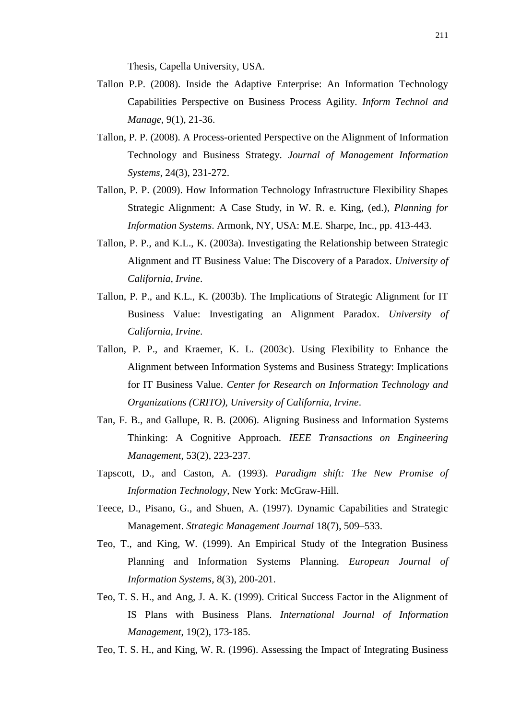Thesis, Capella University, USA.

- Tallon P.P. (2008). Inside the Adaptive Enterprise: An Information Technology Capabilities Perspective on Business Process Agility. *Inform Technol and Manage*, 9(1), 21-36.
- Tallon, P. P. (2008). A Process-oriented Perspective on the Alignment of Information Technology and Business Strategy. *Journal of Management Information Systems*, 24(3), 231-272.
- Tallon, P. P. (2009). How Information Technology Infrastructure Flexibility Shapes Strategic Alignment: A Case Study, in W. R. e. King, (ed.), *Planning for Information Systems*. Armonk, NY, USA: M.E. Sharpe, Inc., pp. 413-443.
- Tallon, P. P., and K.L., K. (2003a). Investigating the Relationship between Strategic Alignment and IT Business Value: The Discovery of a Paradox. *University of California, Irvine*.
- Tallon, P. P., and K.L., K. (2003b). The Implications of Strategic Alignment for IT Business Value: Investigating an Alignment Paradox. *University of California, Irvine*.
- Tallon, P. P., and Kraemer, K. L. (2003c). Using Flexibility to Enhance the Alignment between Information Systems and Business Strategy: Implications for IT Business Value. *Center for Research on Information Technology and Organizations (CRITO), University of California, Irvine*.
- Tan, F. B., and Gallupe, R. B. (2006). Aligning Business and Information Systems Thinking: A Cognitive Approach. *IEEE Transactions on Engineering Management*, 53(2), 223-237.
- Tapscott, D., and Caston, A. (1993). *Paradigm shift: The New Promise of Information Technology*, New York: McGraw-Hill.
- Teece, D., Pisano, G., and Shuen, A. (1997). Dynamic Capabilities and Strategic Management. *Strategic Management Journal* 18(7), 509–533.
- Teo, T., and King, W. (1999). An Empirical Study of the Integration Business Planning and Information Systems Planning. *European Journal of Information Systems*, 8(3), 200-201.
- Teo, T. S. H., and Ang, J. A. K. (1999). Critical Success Factor in the Alignment of IS Plans with Business Plans. *International Journal of Information Management*, 19(2), 173-185.
- Teo, T. S. H., and King, W. R. (1996). Assessing the Impact of Integrating Business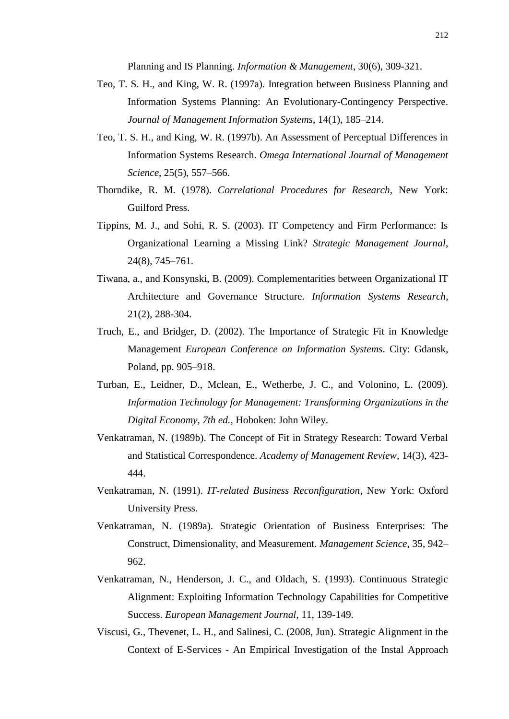Planning and IS Planning. *Information & Management*, 30(6), 309-321.

- Teo, T. S. H., and King, W. R. (1997a). Integration between Business Planning and Information Systems Planning: An Evolutionary-Contingency Perspective. *Journal of Management Information Systems*, 14(1), 185–214.
- Teo, T. S. H., and King, W. R. (1997b). An Assessment of Perceptual Differences in Information Systems Research. *Omega International Journal of Management Science*, 25(5), 557–566.
- Thorndike, R. M. (1978). *Correlational Procedures for Research*, New York: Guilford Press.
- Tippins, M. J., and Sohi, R. S. (2003). IT Competency and Firm Performance: Is Organizational Learning a Missing Link? *Strategic Management Journal*, 24(8), 745–761.
- Tiwana, a., and Konsynski, B. (2009). Complementarities between Organizational IT Architecture and Governance Structure. *Information Systems Research*, 21(2), 288-304.
- Truch, E., and Bridger, D. (2002). The Importance of Strategic Fit in Knowledge Management *European Conference on Information Systems*. City: Gdansk, Poland, pp. 905–918.
- Turban, E., Leidner, D., Mclean, E., Wetherbe, J. C., and Volonino, L. (2009). *Information Technology for Management: Transforming Organizations in the Digital Economy, 7th ed.*, Hoboken: John Wiley.
- Venkatraman, N. (1989b). The Concept of Fit in Strategy Research: Toward Verbal and Statistical Correspondence. *Academy of Management Review*, 14(3), 423- 444.
- Venkatraman, N. (1991). *IT-related Business Reconfiguration*, New York: Oxford University Press.
- Venkatraman, N. (1989a). Strategic Orientation of Business Enterprises: The Construct, Dimensionality, and Measurement. *Management Science*, 35, 942– 962.
- Venkatraman, N., Henderson, J. C., and Oldach, S. (1993). Continuous Strategic Alignment: Exploiting Information Technology Capabilities for Competitive Success. *European Management Journal*, 11, 139-149.
- Viscusi, G., Thevenet, L. H., and Salinesi, C. (2008, Jun). Strategic Alignment in the Context of E-Services - An Empirical Investigation of the Instal Approach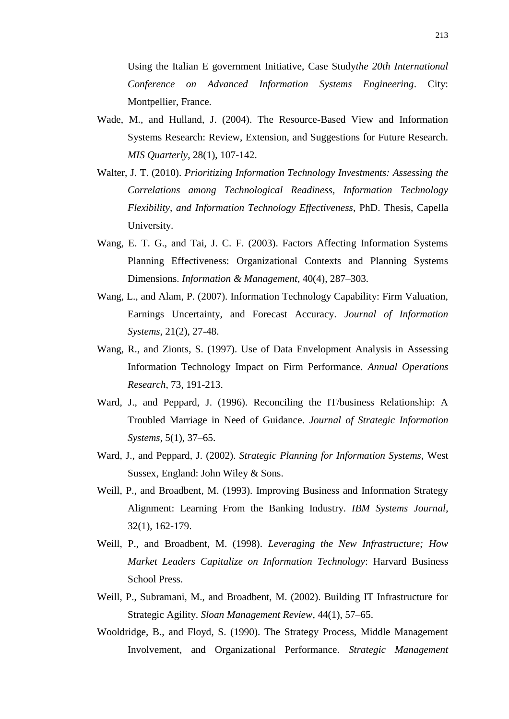Using the Italian E government Initiative, Case Study*the 20th International Conference on Advanced Information Systems Engineering*. City: Montpellier, France.

- Wade, M., and Hulland, J. (2004). The Resource-Based View and Information Systems Research: Review, Extension, and Suggestions for Future Research. *MIS Quarterly*, 28(1), 107-142.
- Walter, J. T. (2010). *Prioritizing Information Technology Investments: Assessing the Correlations among Technological Readiness, Information Technology Flexibility, and Information Technology Effectiveness*, PhD. Thesis, Capella University.
- Wang, E. T. G., and Tai, J. C. F. (2003). Factors Affecting Information Systems Planning Effectiveness: Organizational Contexts and Planning Systems Dimensions. *Information & Management*, 40(4), 287–303.
- Wang, L., and Alam, P. (2007). Information Technology Capability: Firm Valuation, Earnings Uncertainty, and Forecast Accuracy. *Journal of Information Systems*, 21(2), 27-48.
- Wang, R., and Zionts, S. (1997). Use of Data Envelopment Analysis in Assessing Information Technology Impact on Firm Performance. *Annual Operations Research*, 73, 191-213.
- Ward, J., and Peppard, J. (1996). Reconciling the IT/business Relationship: A Troubled Marriage in Need of Guidance. *Journal of Strategic Information Systems*, 5(1), 37–65.
- Ward, J., and Peppard, J. (2002). *Strategic Planning for Information Systems*, West Sussex, England: John Wiley & Sons.
- Weill, P., and Broadbent, M. (1993). Improving Business and Information Strategy Alignment: Learning From the Banking Industry. *IBM Systems Journal*, 32(1), 162-179.
- Weill, P., and Broadbent, M. (1998). *Leveraging the New Infrastructure; How Market Leaders Capitalize on Information Technology*: Harvard Business School Press.
- Weill, P., Subramani, M., and Broadbent, M. (2002). Building IT Infrastructure for Strategic Agility. *Sloan Management Review*, 44(1), 57–65.
- Wooldridge, B., and Floyd, S. (1990). The Strategy Process, Middle Management Involvement, and Organizational Performance. *Strategic Management*